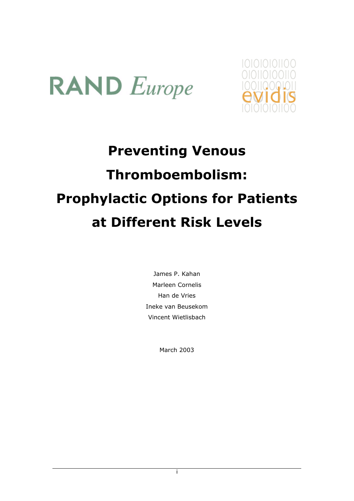



# **Preventing Venous Thromboembolism: Prophylactic Options for Patients at Different Risk Levels**

James P. Kahan Marleen Cornelis Han de Vries Ineke van Beusekom Vincent Wietlisbach

March 2003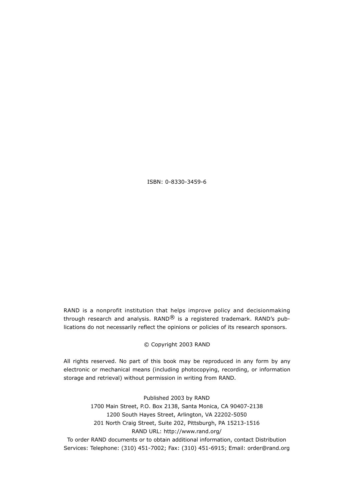ISBN: 0-8330-3459-6

RAND is a nonprofit institution that helps improve policy and decisionmaking through research and analysis.  $RAND^{(8)}$  is a registered trademark.  $RAND's$  publications do not necessarily reflect the opinions or policies of its research sponsors.

#### © Copyright 2003 RAND

All rights reserved. No part of this book may be reproduced in any form by any electronic or mechanical means (including photocopying, recording, or information storage and retrieval) without permission in writing from RAND.

Published 2003 by RAND 1700 Main Street, P.O. Box 2138, Santa Monica, CA 90407-2138 1200 South Hayes Street, Arlington, VA 22202-5050 201 North Craig Street, Suite 202, Pittsburgh, PA 15213-1516 RAND URL: http://www.rand.org/ To order RAND documents or to obtain additional information, contact Distribution Services: Telephone: (310) 451-7002; Fax: (310) 451-6915; Email: order@rand.org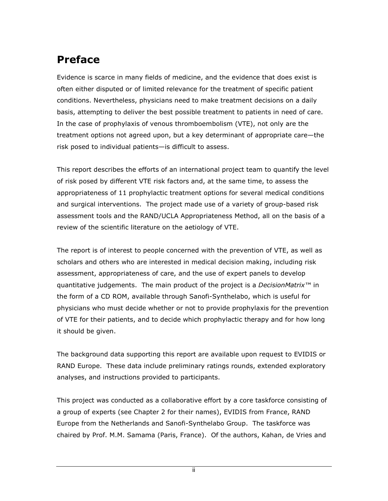## **Preface**

Evidence is scarce in many fields of medicine, and the evidence that does exist is often either disputed or of limited relevance for the treatment of specific patient conditions. Nevertheless, physicians need to make treatment decisions on a daily basis, attempting to deliver the best possible treatment to patients in need of care. In the case of prophylaxis of venous thromboembolism (VTE), not only are the treatment options not agreed upon, but a key determinant of appropriate care—the risk posed to individual patients—is difficult to assess.

This report describes the efforts of an international project team to quantify the level of risk posed by different VTE risk factors and, at the same time, to assess the appropriateness of 11 prophylactic treatment options for several medical conditions and surgical interventions. The project made use of a variety of group-based risk assessment tools and the RAND/UCLA Appropriateness Method, all on the basis of a review of the scientific literature on the aetiology of VTE.

The report is of interest to people concerned with the prevention of VTE, as well as scholars and others who are interested in medical decision making, including risk assessment, appropriateness of care, and the use of expert panels to develop quantitative judgements. The main product of the project is a *DecisionMatrix™* in the form of a CD ROM, available through Sanofi-Synthelabo, which is useful for physicians who must decide whether or not to provide prophylaxis for the prevention of VTE for their patients, and to decide which prophylactic therapy and for how long it should be given.

The background data supporting this report are available upon request to EVIDIS or RAND Europe. These data include preliminary ratings rounds, extended exploratory analyses, and instructions provided to participants.

This project was conducted as a collaborative effort by a core taskforce consisting of a group of experts (see Chapter 2 for their names), EVIDIS from France, RAND Europe from the Netherlands and Sanofi-Synthelabo Group. The taskforce was chaired by Prof. M.M. Samama (Paris, France). Of the authors, Kahan, de Vries and

ii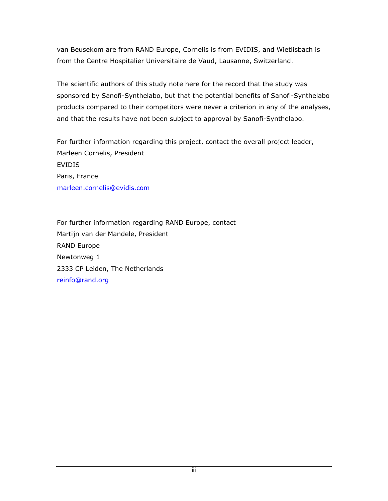van Beusekom are from RAND Europe, Cornelis is from EVIDIS, and Wietlisbach is from the Centre Hospitalier Universitaire de Vaud, Lausanne, Switzerland.

The scientific authors of this study note here for the record that the study was sponsored by Sanofi-Synthelabo, but that the potential benefits of Sanofi-Synthelabo products compared to their competitors were never a criterion in any of the analyses, and that the results have not been subject to approval by Sanofi-Synthelabo.

For further information regarding this project, contact the overall project leader, Marleen Cornelis, President EVIDIS Paris, France marleen.cornelis@evidis.com

For further information regarding RAND Europe, contact Martijn van der Mandele, President RAND Europe Newtonweg 1 2333 CP Leiden, The Netherlands reinfo@rand.org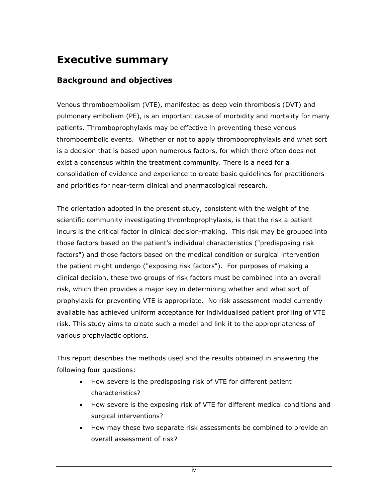## **Executive summary**

### **Background and objectives**

Venous thromboembolism (VTE), manifested as deep vein thrombosis (DVT) and pulmonary embolism (PE), is an important cause of morbidity and mortality for many patients. Thromboprophylaxis may be effective in preventing these venous thromboembolic events. Whether or not to apply thromboprophylaxis and what sort is a decision that is based upon numerous factors, for which there often does not exist a consensus within the treatment community. There is a need for a consolidation of evidence and experience to create basic guidelines for practitioners and priorities for near-term clinical and pharmacological research.

The orientation adopted in the present study, consistent with the weight of the scientific community investigating thromboprophylaxis, is that the risk a patient incurs is the critical factor in clinical decision-making. This risk may be grouped into those factors based on the patient's individual characteristics ("predisposing risk factors") and those factors based on the medical condition or surgical intervention the patient might undergo ("exposing risk factors"). For purposes of making a clinical decision, these two groups of risk factors must be combined into an overall risk, which then provides a major key in determining whether and what sort of prophylaxis for preventing VTE is appropriate. No risk assessment model currently available has achieved uniform acceptance for individualised patient profiling of VTE risk. This study aims to create such a model and link it to the appropriateness of various prophylactic options.

This report describes the methods used and the results obtained in answering the following four questions:

- How severe is the predisposing risk of VTE for different patient characteristics?
- How severe is the exposing risk of VTE for different medical conditions and surgical interventions?
- How may these two separate risk assessments be combined to provide an overall assessment of risk?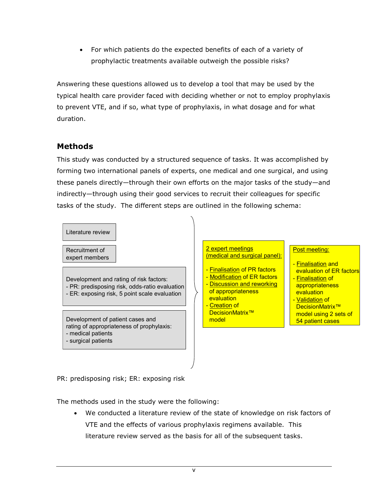• For which patients do the expected benefits of each of a variety of prophylactic treatments available outweigh the possible risks?

Answering these questions allowed us to develop a tool that may be used by the typical health care provider faced with deciding whether or not to employ prophylaxis to prevent VTE, and if so, what type of prophylaxis, in what dosage and for what duration.

### **Methods**

This study was conducted by a structured sequence of tasks. It was accomplished by forming two international panels of experts, one medical and one surgical, and using these panels directly—through their own efforts on the major tasks of the study—and indirectly—through using their good services to recruit their colleagues for specific tasks of the study. The different steps are outlined in the following schema:



PR: predisposing risk; ER: exposing risk

The methods used in the study were the following:

• We conducted a literature review of the state of knowledge on risk factors of VTE and the effects of various prophylaxis regimens available. This literature review served as the basis for all of the subsequent tasks.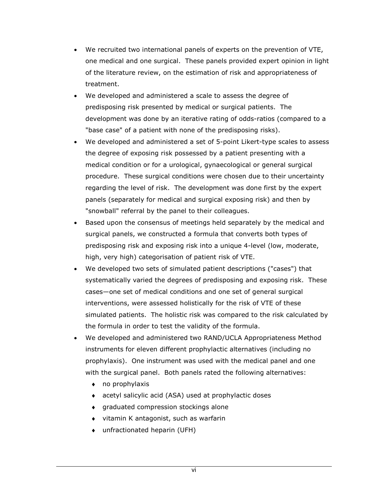- We recruited two international panels of experts on the prevention of VTE, one medical and one surgical. These panels provided expert opinion in light of the literature review, on the estimation of risk and appropriateness of treatment.
- We developed and administered a scale to assess the degree of predisposing risk presented by medical or surgical patients. The development was done by an iterative rating of odds-ratios (compared to a "base case" of a patient with none of the predisposing risks).
- We developed and administered a set of 5-point Likert-type scales to assess the degree of exposing risk possessed by a patient presenting with a medical condition or for a urological, gynaecological or general surgical procedure. These surgical conditions were chosen due to their uncertainty regarding the level of risk. The development was done first by the expert panels (separately for medical and surgical exposing risk) and then by "snowball" referral by the panel to their colleagues.
- Based upon the consensus of meetings held separately by the medical and surgical panels, we constructed a formula that converts both types of predisposing risk and exposing risk into a unique 4-level (low, moderate, high, very high) categorisation of patient risk of VTE.
- We developed two sets of simulated patient descriptions ("cases") that systematically varied the degrees of predisposing and exposing risk. These cases—one set of medical conditions and one set of general surgical interventions, were assessed holistically for the risk of VTE of these simulated patients. The holistic risk was compared to the risk calculated by the formula in order to test the validity of the formula.
- We developed and administered two RAND/UCLA Appropriateness Method instruments for eleven different prophylactic alternatives (including no prophylaxis). One instrument was used with the medical panel and one with the surgical panel. Both panels rated the following alternatives:
	- $\bullet$  no prophylaxis
	- ♦ acetyl salicylic acid (ASA) used at prophylactic doses
	- ♦ graduated compression stockings alone
	- ♦ vitamin K antagonist, such as warfarin
	- ♦ unfractionated heparin (UFH)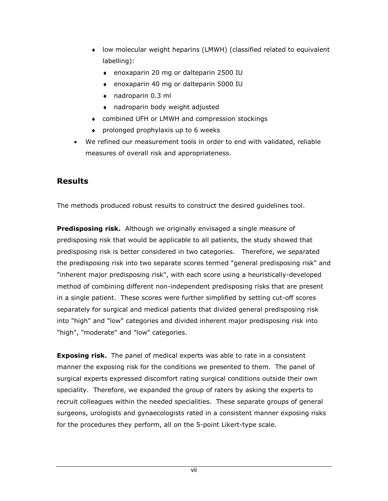- ♦ low molecular weight heparins (LMWH) (classified related to equivalent labelling):
	- ♦ enoxaparin 20 mg or dalteparin 2500 IU
	- ♦ enoxaparin 40 mg or dalteparin 5000 IU
	- ♦ nadroparin 0.3 ml
	- ♦ nadroparin body weight adjusted
- ♦ combined UFH or LMWH and compression stockings
- ♦ prolonged prophylaxis up to 6 weeks
- We refined our measurement tools in order to end with validated, reliable measures of overall risk and appropriateness.

#### **Results**

The methods produced robust results to construct the desired guidelines tool.

**Predisposing risk.** Although we originally envisaged a single measure of predisposing risk that would be applicable to all patients, the study showed that predisposing risk is better considered in two categories. Therefore, we separated the predisposing risk into two separate scores termed "general predisposing risk" and "inherent major predisposing risk", with each score using a heuristically-developed method of combining different non-independent predisposing risks that are present in a single patient. These scores were further simplified by setting cut-off scores separately for surgical and medical patients that divided general predisposing risk into "high" and "low" categories and divided inherent major predisposing risk into "high", "moderate" and "low" categories.

**Exposing risk.** The panel of medical experts was able to rate in a consistent manner the exposing risk for the conditions we presented to them. The panel of surgical experts expressed discomfort rating surgical conditions outside their own speciality. Therefore, we expanded the group of raters by asking the experts to recruit colleagues within the needed specialities. These separate groups of general surgeons, urologists and gynaecologists rated in a consistent manner exposing risks for the procedures they perform, all on the 5-point Likert-type scale.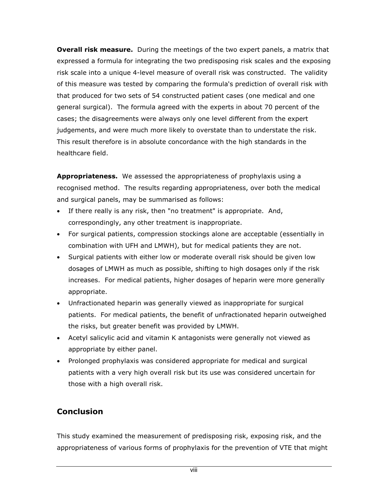**Overall risk measure.** During the meetings of the two expert panels, a matrix that expressed a formula for integrating the two predisposing risk scales and the exposing risk scale into a unique 4-level measure of overall risk was constructed. The validity of this measure was tested by comparing the formula's prediction of overall risk with that produced for two sets of 54 constructed patient cases (one medical and one general surgical). The formula agreed with the experts in about 70 percent of the cases; the disagreements were always only one level different from the expert judgements, and were much more likely to overstate than to understate the risk. This result therefore is in absolute concordance with the high standards in the healthcare field.

**Appropriateness.** We assessed the appropriateness of prophylaxis using a recognised method. The results regarding appropriateness, over both the medical and surgical panels, may be summarised as follows:

- If there really is any risk, then "no treatment" is appropriate. And, correspondingly, any other treatment is inappropriate.
- For surgical patients, compression stockings alone are acceptable (essentially in combination with UFH and LMWH), but for medical patients they are not.
- Surgical patients with either low or moderate overall risk should be given low dosages of LMWH as much as possible, shifting to high dosages only if the risk increases. For medical patients, higher dosages of heparin were more generally appropriate.
- Unfractionated heparin was generally viewed as inappropriate for surgical patients. For medical patients, the benefit of unfractionated heparin outweighed the risks, but greater benefit was provided by LMWH.
- Acetyl salicylic acid and vitamin K antagonists were generally not viewed as appropriate by either panel.
- Prolonged prophylaxis was considered appropriate for medical and surgical patients with a very high overall risk but its use was considered uncertain for those with a high overall risk.

### **Conclusion**

This study examined the measurement of predisposing risk, exposing risk, and the appropriateness of various forms of prophylaxis for the prevention of VTE that might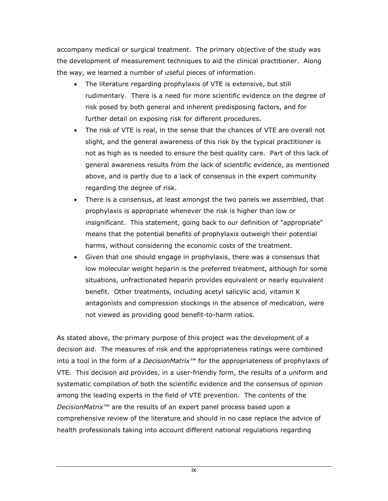accompany medical or surgical treatment. The primary objective of the study was the development of measurement techniques to aid the clinical practitioner. Along the way, we learned a number of useful pieces of information.

- The literature regarding prophylaxis of VTE is extensive, but still rudimentary. There is a need for more scientific evidence on the degree of risk posed by both general and inherent predisposing factors, and for further detail on exposing risk for different procedures.
- The risk of VTE is real, in the sense that the chances of VTE are overall not slight, and the general awareness of this risk by the typical practitioner is not as high as is needed to ensure the best quality care. Part of this lack of general awareness results from the lack of scientific evidence, as mentioned above, and is partly due to a lack of consensus in the expert community regarding the degree of risk.
- There is a consensus, at least amongst the two panels we assembled, that prophylaxis is appropriate whenever the risk is higher than low or insignificant. This statement, going back to our definition of "appropriate" means that the potential benefits of prophylaxis outweigh their potential harms, without considering the economic costs of the treatment.
- Given that one should engage in prophylaxis, there was a consensus that low molecular weight heparin is the preferred treatment, although for some situations, unfractionated heparin provides equivalent or nearly equivalent benefit. Other treatments, including acetyl salicylic acid, vitamin K antagonists and compression stockings in the absence of medication, were not viewed as providing good benefit-to-harm ratios.

As stated above, the primary purpose of this project was the development of a decision aid. The measures of risk and the appropriateness ratings were combined into a tool in the form of a *DecisionMatrix™* for the appropriateness of prophylaxis of VTE. This decision aid provides, in a user-friendly form, the results of a uniform and systematic compilation of both the scientific evidence and the consensus of opinion among the leading experts in the field of VTE prevention. The contents of the *DecisionMatrix™* are the results of an expert panel process based upon a comprehensive review of the literature and should in no case replace the advice of health professionals taking into account different national regulations regarding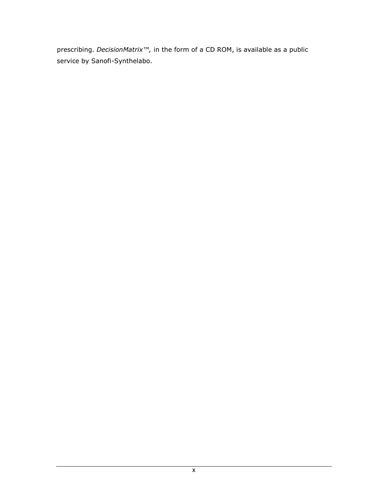prescribing. *DecisionMatrix™,* in the form of a CD ROM, is available as a public service by Sanofi-Synthelabo.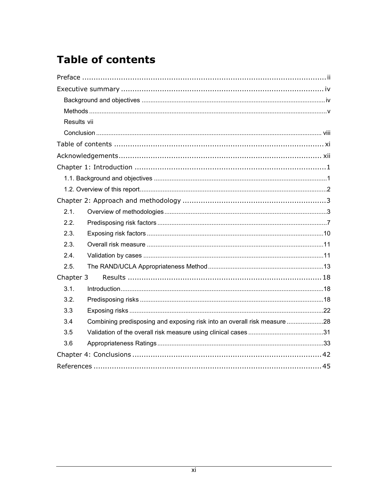## **Table of contents**

| Results vii |                                                                          |  |
|-------------|--------------------------------------------------------------------------|--|
|             |                                                                          |  |
|             |                                                                          |  |
|             |                                                                          |  |
|             |                                                                          |  |
|             |                                                                          |  |
|             |                                                                          |  |
|             |                                                                          |  |
| 2.1.        |                                                                          |  |
| 2.2.        |                                                                          |  |
| 2.3.        |                                                                          |  |
| 2.3.        |                                                                          |  |
| 2.4.        |                                                                          |  |
| 2.5.        |                                                                          |  |
| Chapter 3   |                                                                          |  |
| 3.1.        |                                                                          |  |
| 3.2.        |                                                                          |  |
| 3.3         |                                                                          |  |
| 3.4         | Combining predisposing and exposing risk into an overall risk measure 28 |  |
| 3.5         |                                                                          |  |
| 3.6         |                                                                          |  |
|             |                                                                          |  |
|             |                                                                          |  |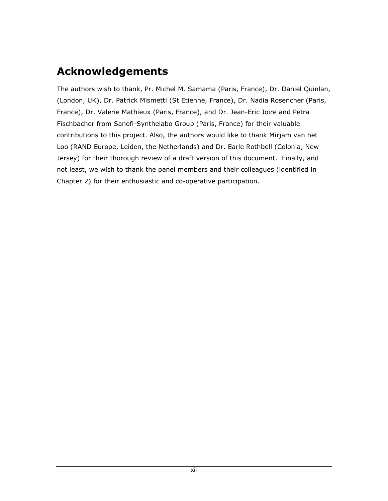## **Acknowledgements**

The authors wish to thank, Pr. Michel M. Samama (Paris, France), Dr. Daniel Quinlan, (London, UK), Dr. Patrick Mismetti (St Etienne, France), Dr. Nadia Rosencher (Paris, France), Dr. Valerie Mathieux (Paris, France), and Dr. Jean-Eric Joire and Petra Fischbacher from Sanofi-Synthelabo Group (Paris, France) for their valuable contributions to this project. Also, the authors would like to thank Mirjam van het Loo (RAND Europe, Leiden, the Netherlands) and Dr. Earle Rothbell (Colonia, New Jersey) for their thorough review of a draft version of this document. Finally, and not least, we wish to thank the panel members and their colleagues (identified in Chapter 2) for their enthusiastic and co-operative participation.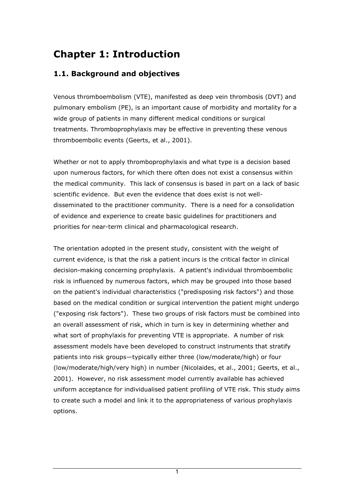## **Chapter 1: Introduction**

### **1.1. Background and objectives**

Venous thromboembolism (VTE), manifested as deep vein thrombosis (DVT) and pulmonary embolism (PE), is an important cause of morbidity and mortality for a wide group of patients in many different medical conditions or surgical treatments. Thromboprophylaxis may be effective in preventing these venous thromboembolic events (Geerts, et al., 2001).

Whether or not to apply thromboprophylaxis and what type is a decision based upon numerous factors, for which there often does not exist a consensus within the medical community. This lack of consensus is based in part on a lack of basic scientific evidence. But even the evidence that does exist is not welldisseminated to the practitioner community. There is a need for a consolidation of evidence and experience to create basic guidelines for practitioners and priorities for near-term clinical and pharmacological research.

The orientation adopted in the present study, consistent with the weight of current evidence, is that the risk a patient incurs is the critical factor in clinical decision-making concerning prophylaxis. A patient's individual thromboembolic risk is influenced by numerous factors, which may be grouped into those based on the patient's individual characteristics ("predisposing risk factors") and those based on the medical condition or surgical intervention the patient might undergo ("exposing risk factors"). These two groups of risk factors must be combined into an overall assessment of risk, which in turn is key in determining whether and what sort of prophylaxis for preventing VTE is appropriate. A number of risk assessment models have been developed to construct instruments that stratify patients into risk groups—typically either three (low/moderate/high) or four (low/moderate/high/very high) in number (Nicolaides, et al., 2001; Geerts, et al., 2001). However, no risk assessment model currently available has achieved uniform acceptance for individualised patient profiling of VTE risk. This study aims to create such a model and link it to the appropriateness of various prophylaxis options.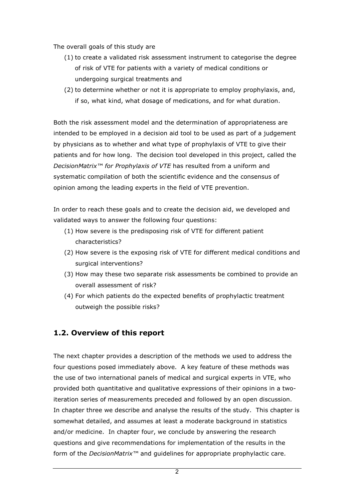The overall goals of this study are

- (1) to create a validated risk assessment instrument to categorise the degree of risk of VTE for patients with a variety of medical conditions or undergoing surgical treatments and
- (2) to determine whether or not it is appropriate to employ prophylaxis, and, if so, what kind, what dosage of medications, and for what duration.

Both the risk assessment model and the determination of appropriateness are intended to be employed in a decision aid tool to be used as part of a judgement by physicians as to whether and what type of prophylaxis of VTE to give their patients and for how long. The decision tool developed in this project, called the *DecisionMatrix™ for Prophylaxis of VTE* has resulted from a uniform and systematic compilation of both the scientific evidence and the consensus of opinion among the leading experts in the field of VTE prevention.

In order to reach these goals and to create the decision aid, we developed and validated ways to answer the following four questions:

- (1) How severe is the predisposing risk of VTE for different patient characteristics?
- (2) How severe is the exposing risk of VTE for different medical conditions and surgical interventions?
- (3) How may these two separate risk assessments be combined to provide an overall assessment of risk?
- (4) For which patients do the expected benefits of prophylactic treatment outweigh the possible risks?

## **1.2. Overview of this report**

The next chapter provides a description of the methods we used to address the four questions posed immediately above. A key feature of these methods was the use of two international panels of medical and surgical experts in VTE, who provided both quantitative and qualitative expressions of their opinions in a twoiteration series of measurements preceded and followed by an open discussion. In chapter three we describe and analyse the results of the study. This chapter is somewhat detailed, and assumes at least a moderate background in statistics and/or medicine. In chapter four, we conclude by answering the research questions and give recommendations for implementation of the results in the form of the *DecisionMatrix™* and guidelines for appropriate prophylactic care.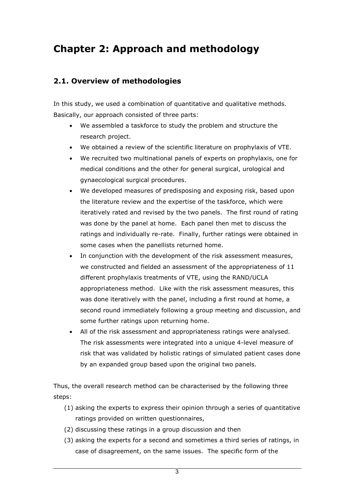## **Chapter 2: Approach and methodology**

### **2.1. Overview of methodologies**

In this study, we used a combination of quantitative and qualitative methods. Basically, our approach consisted of three parts:

- We assembled a taskforce to study the problem and structure the research project.
- We obtained a review of the scientific literature on prophylaxis of VTE.
- We recruited two multinational panels of experts on prophylaxis, one for medical conditions and the other for general surgical, urological and gynaecological surgical procedures.
- We developed measures of predisposing and exposing risk, based upon the literature review and the expertise of the taskforce, which were iteratively rated and revised by the two panels. The first round of rating was done by the panel at home. Each panel then met to discuss the ratings and individually re-rate. Finally, further ratings were obtained in some cases when the panellists returned home.
- In conjunction with the development of the risk assessment measures, we constructed and fielded an assessment of the appropriateness of 11 different prophylaxis treatments of VTE, using the RAND/UCLA appropriateness method. Like with the risk assessment measures, this was done iteratively with the panel, including a first round at home, a second round immediately following a group meeting and discussion, and some further ratings upon returning home.
- All of the risk assessment and appropriateness ratings were analysed. The risk assessments were integrated into a unique 4-level measure of risk that was validated by holistic ratings of simulated patient cases done by an expanded group based upon the original two panels.

Thus, the overall research method can be characterised by the following three steps:

- (1) asking the experts to express their opinion through a series of quantitative ratings provided on written questionnaires,
- (2) discussing these ratings in a group discussion and then
- (3) asking the experts for a second and sometimes a third series of ratings, in case of disagreement, on the same issues. The specific form of the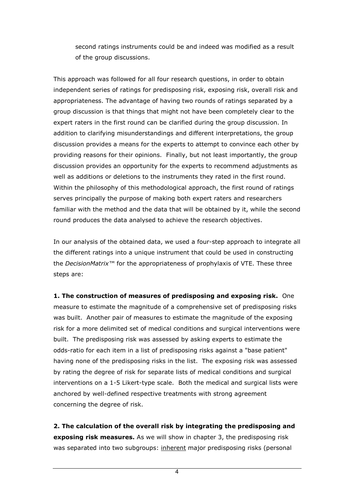second ratings instruments could be and indeed was modified as a result of the group discussions.

This approach was followed for all four research questions, in order to obtain independent series of ratings for predisposing risk, exposing risk, overall risk and appropriateness. The advantage of having two rounds of ratings separated by a group discussion is that things that might not have been completely clear to the expert raters in the first round can be clarified during the group discussion. In addition to clarifying misunderstandings and different interpretations, the group discussion provides a means for the experts to attempt to convince each other by providing reasons for their opinions. Finally, but not least importantly, the group discussion provides an opportunity for the experts to recommend adjustments as well as additions or deletions to the instruments they rated in the first round. Within the philosophy of this methodological approach, the first round of ratings serves principally the purpose of making both expert raters and researchers familiar with the method and the data that will be obtained by it, while the second round produces the data analysed to achieve the research objectives.

In our analysis of the obtained data, we used a four-step approach to integrate all the different ratings into a unique instrument that could be used in constructing the *DecisionMatrix™* for the appropriateness of prophylaxis of VTE. These three steps are:

**1. The construction of measures of predisposing and exposing risk.** One measure to estimate the magnitude of a comprehensive set of predisposing risks was built. Another pair of measures to estimate the magnitude of the exposing risk for a more delimited set of medical conditions and surgical interventions were built. The predisposing risk was assessed by asking experts to estimate the odds-ratio for each item in a list of predisposing risks against a "base patient" having none of the predisposing risks in the list. The exposing risk was assessed by rating the degree of risk for separate lists of medical conditions and surgical interventions on a 1-5 Likert-type scale. Both the medical and surgical lists were anchored by well-defined respective treatments with strong agreement concerning the degree of risk.

**2. The calculation of the overall risk by integrating the predisposing and exposing risk measures.** As we will show in chapter 3, the predisposing risk was separated into two subgroups: inherent major predisposing risks (personal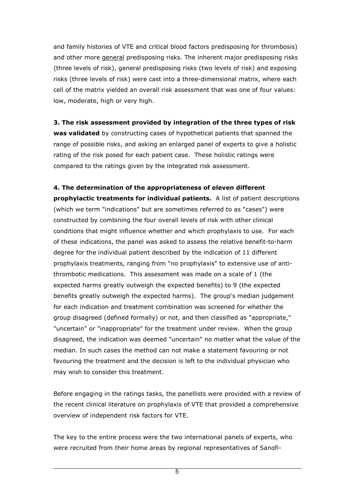and family histories of VTE and critical blood factors predisposing for thrombosis) and other more general predisposing risks. The inherent major predisposing risks (three levels of risk), general predisposing risks (two levels of risk) and exposing risks (three levels of risk) were cast into a three-dimensional matrix, where each cell of the matrix yielded an overall risk assessment that was one of four values: low, moderate, high or very high.

#### **3. The risk assessment provided by integration of the three types of risk**

**was validated** by constructing cases of hypothetical patients that spanned the range of possible risks, and asking an enlarged panel of experts to give a holistic rating of the risk posed for each patient case. These holistic ratings were compared to the ratings given by the integrated risk assessment.

#### **4. The determination of the appropriateness of eleven different**

**prophylactic treatments for individual patients.** A list of patient descriptions (which we term "indications" but are sometimes referred to as "cases") were constructed by combining the four overall levels of risk with other clinical conditions that might influence whether and which prophylaxis to use. For each of these indications, the panel was asked to assess the relative benefit-to-harm degree for the individual patient described by the indication of 11 different prophylaxis treatments, ranging from "no prophylaxis" to extensive use of antithrombotic medications. This assessment was made on a scale of 1 (the expected harms greatly outweigh the expected benefits) to 9 (the expected benefits greatly outweigh the expected harms). The group's median judgement for each indication and treatment combination was screened for whether the group disagreed (defined formally) or not, and then classified as "appropriate," "uncertain" or "inappropriate" for the treatment under review. When the group disagreed, the indication was deemed "uncertain" no matter what the value of the median. In such cases the method can not make a statement favouring or not favouring the treatment and the decision is left to the individual physician who may wish to consider this treatment.

Before engaging in the ratings tasks, the panellists were provided with a review of the recent clinical literature on prophylaxis of VTE that provided a comprehensive overview of independent risk factors for VTE.

The key to the entire process were the two international panels of experts, who were recruited from their home areas by regional representatives of Sanofi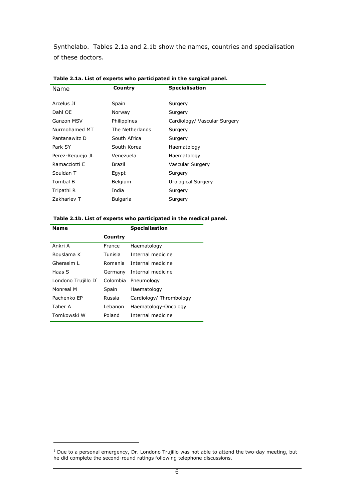Synthelabo. Tables 2.1a and 2.1b show the names, countries and specialisation of these doctors.

| Name             | Country         | <b>Specialisation</b>        |
|------------------|-----------------|------------------------------|
| Arcelus JI       | Spain           | Surgery                      |
| Dahl OE          | Norway          | Surgery                      |
| Ganzon MSV       | Philippines     | Cardiology/ Vascular Surgery |
| Nurmohamed MT    | The Netherlands | Surgery                      |
| Pantanawitz D    | South Africa    | Surgery                      |
| Park SY          | South Korea     | Haematology                  |
| Perez-Requejo JL | Venezuela       | Haematology                  |
| Ramacciotti E    | Brazil          | Vascular Surgery             |
| Souidan T        | Egypt           | Surgery                      |
| Tombal B         | Belgium         | Urological Surgery           |
| Tripathi R       | India           | Surgery                      |
| Zakhariev T      | <b>Bulgaria</b> | Surgery                      |

**Table 2.1a. List of experts who participated in the surgical panel.** 

| Name                            |          | <b>Specialisation</b>   |
|---------------------------------|----------|-------------------------|
|                                 | Country  |                         |
| Ankri A                         | France   | Haematology             |
| Bouslama K                      | Tunisia  | Internal medicine       |
| Gherasim L                      | Romania  | Internal medicine       |
| Haas S                          | Germany  | Internal medicine       |
| Londono Trujillo D <sup>1</sup> | Colombia | Pneumology              |
| Monreal M                       | Spain    | Haematology             |
| Pachenko FP                     | Russia   | Cardiology/ Thrombology |
| Taher A                         | Lebanon  | Haematology-Oncology    |
| Tomkowski W                     | Poland   | Internal medicine       |

ł

 $<sup>1</sup>$  Due to a personal emergency, Dr. Londono Trujillo was not able to attend the two-day meeting, but</sup> he did complete the second-round ratings following telephone discussions.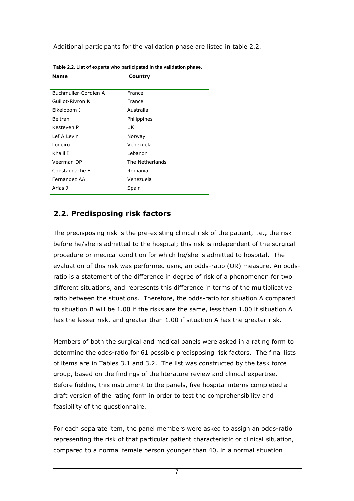Additional participants for the validation phase are listed in table 2.2.

| <b>Name</b>          | Country         |
|----------------------|-----------------|
|                      |                 |
| Buchmuller-Cordien A | France          |
| Guillot-Rivron K     | France          |
| Eikelboom J          | Australia       |
| <b>Beltran</b>       | Philippines     |
| Kesteven P           | UK              |
| Lef A Levin          | Norway          |
| Lodeiro              | Venezuela       |
| Khalil I             | Lebanon         |
| Veerman DP           | The Netherlands |
| Constandache F       | Romania         |
| Fernandez AA         | Venezuela       |
| Arias J              | Spain           |

**Table 2.2. List of experts who participated in the validation phase.** 

### **2.2. Predisposing risk factors**

The predisposing risk is the pre-existing clinical risk of the patient, i.e., the risk before he/she is admitted to the hospital; this risk is independent of the surgical procedure or medical condition for which he/she is admitted to hospital. The evaluation of this risk was performed using an odds-ratio (OR) measure. An oddsratio is a statement of the difference in degree of risk of a phenomenon for two different situations, and represents this difference in terms of the multiplicative ratio between the situations. Therefore, the odds-ratio for situation A compared to situation B will be 1.00 if the risks are the same, less than 1.00 if situation A has the lesser risk, and greater than 1.00 if situation A has the greater risk.

Members of both the surgical and medical panels were asked in a rating form to determine the odds-ratio for 61 possible predisposing risk factors. The final lists of items are in Tables 3.1 and 3.2. The list was constructed by the task force group, based on the findings of the literature review and clinical expertise. Before fielding this instrument to the panels, five hospital interns completed a draft version of the rating form in order to test the comprehensibility and feasibility of the questionnaire.

For each separate item, the panel members were asked to assign an odds-ratio representing the risk of that particular patient characteristic or clinical situation, compared to a normal female person younger than 40, in a normal situation

7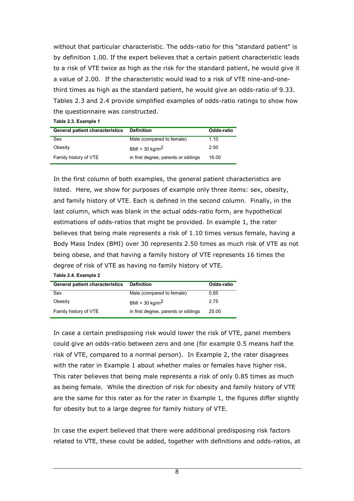without that particular characteristic. The odds-ratio for this "standard patient" is by definition 1.00. If the expert believes that a certain patient characteristic leads to a risk of VTE twice as high as the risk for the standard patient, he would give it a value of 2.00. If the characteristic would lead to a risk of VTE nine-and-onethird times as high as the standard patient, he would give an odds-ratio of 9.33. Tables 2.3 and 2.4 provide simplified examples of odds-ratio ratings to show how the questionnaire was constructed.

**Table 2.3. Example 1** 

| <b>General patient characteristics</b> | <b>Definition</b>                    | Odds-ratio |
|----------------------------------------|--------------------------------------|------------|
| Sex                                    | Male (compared to female)            | 1.10       |
| Obesity                                | BMI > 30 kg/m <sup>2</sup>           | 2.50       |
| Family history of VTE                  | in first degree, parents or siblings | 16.00      |

In the first column of both examples, the general patient characteristics are listed. Here, we show for purposes of example only three items: sex, obesity, and family history of VTE. Each is defined in the second column. Finally, in the last column, which was blank in the actual odds-ratio form, are hypothetical estimations of odds-ratios that might be provided. In example 1, the rater believes that being male represents a risk of 1.10 times versus female, having a Body Mass Index (BMI) over 30 represents 2.50 times as much risk of VTE as not being obese, and that having a family history of VTE represents 16 times the degree of risk of VTE as having no family history of VTE.

**Table 2.4. Example 2** 

| <b>General patient characteristics</b> | <b>Definition</b>                    | Odds-ratio |
|----------------------------------------|--------------------------------------|------------|
| Sex                                    | Male (compared to female)            | 0.85       |
| Obesity                                | BMI > 30 kg/m <sup>2</sup>           | 2.75       |
| Family history of VTE                  | in first degree, parents or siblings | 25.00      |

In case a certain predisposing risk would lower the risk of VTE, panel members could give an odds-ratio between zero and one (for example 0.5 means half the risk of VTE, compared to a normal person). In Example 2, the rater disagrees with the rater in Example 1 about whether males or females have higher risk. This rater believes that being male represents a risk of only 0.85 times as much as being female. While the direction of risk for obesity and family history of VTE are the same for this rater as for the rater in Example 1, the figures differ slightly for obesity but to a large degree for family history of VTE.

In case the expert believed that there were additional predisposing risk factors related to VTE, these could be added, together with definitions and odds-ratios, at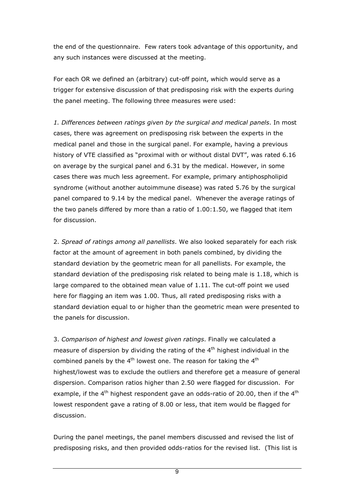the end of the questionnaire. Few raters took advantage of this opportunity, and any such instances were discussed at the meeting.

For each OR we defined an (arbitrary) cut-off point, which would serve as a trigger for extensive discussion of that predisposing risk with the experts during the panel meeting. The following three measures were used:

*1. Differences between ratings given by the surgical and medical panels*. In most cases, there was agreement on predisposing risk between the experts in the medical panel and those in the surgical panel. For example, having a previous history of VTE classified as "proximal with or without distal DVT", was rated 6.16 on average by the surgical panel and 6.31 by the medical. However, in some cases there was much less agreement. For example, primary antiphospholipid syndrome (without another autoimmune disease) was rated 5.76 by the surgical panel compared to 9.14 by the medical panel. Whenever the average ratings of the two panels differed by more than a ratio of 1.00:1.50, we flagged that item for discussion.

2. *Spread of ratings among all panellists*. We also looked separately for each risk factor at the amount of agreement in both panels combined, by dividing the standard deviation by the geometric mean for all panellists. For example, the standard deviation of the predisposing risk related to being male is 1.18, which is large compared to the obtained mean value of 1.11. The cut-off point we used here for flagging an item was 1.00. Thus, all rated predisposing risks with a standard deviation equal to or higher than the geometric mean were presented to the panels for discussion.

3. *Comparison of highest and lowest given ratings*. Finally we calculated a measure of dispersion by dividing the rating of the  $4<sup>th</sup>$  highest individual in the combined panels by the  $4<sup>th</sup>$  lowest one. The reason for taking the  $4<sup>th</sup>$ highest/lowest was to exclude the outliers and therefore get a measure of general dispersion. Comparison ratios higher than 2.50 were flagged for discussion. For example, if the  $4<sup>th</sup>$  highest respondent gave an odds-ratio of 20.00, then if the  $4<sup>th</sup>$ lowest respondent gave a rating of 8.00 or less, that item would be flagged for discussion.

During the panel meetings, the panel members discussed and revised the list of predisposing risks, and then provided odds-ratios for the revised list. (This list is

9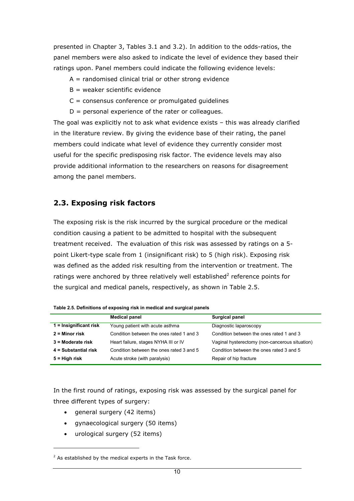presented in Chapter 3, Tables 3.1 and 3.2). In addition to the odds-ratios, the panel members were also asked to indicate the level of evidence they based their ratings upon. Panel members could indicate the following evidence levels:

- $A =$  randomised clinical trial or other strong evidence
- $B =$  weaker scientific evidence
- $C =$  consensus conference or promulgated guidelines
- $D =$  personal experience of the rater or colleagues.

The goal was explicitly not to ask what evidence exists – this was already clarified in the literature review. By giving the evidence base of their rating, the panel members could indicate what level of evidence they currently consider most useful for the specific predisposing risk factor. The evidence levels may also provide additional information to the researchers on reasons for disagreement among the panel members.

### **2.3. Exposing risk factors**

The exposing risk is the risk incurred by the surgical procedure or the medical condition causing a patient to be admitted to hospital with the subsequent treatment received. The evaluation of this risk was assessed by ratings on a 5 point Likert-type scale from 1 (insignificant risk) to 5 (high risk). Exposing risk was defined as the added risk resulting from the intervention or treatment. The ratings were anchored by three relatively well established<sup>2</sup> reference points for the surgical and medical panels, respectively, as shown in Table 2.5.

|                        | <b>Medical panel</b>                     | Surgical panel                                 |
|------------------------|------------------------------------------|------------------------------------------------|
| 1 = Insignificant risk | Young patient with acute asthma          | Diagnostic laparoscopy                         |
| $2 =$ Minor risk       | Condition between the ones rated 1 and 3 | Condition between the ones rated 1 and 3       |
| $3$ = Moderate risk    | Heart failure, stages NYHA III or IV     | Vaginal hysterectomy (non-cancerous situation) |
| $4 = Substantial risk$ | Condition between the ones rated 3 and 5 | Condition between the ones rated 3 and 5       |
| $5 =$ High risk        | Acute stroke (with paralysis)            | Repair of hip fracture                         |

**Table 2.5. Definitions of exposing risk in medical and surgical panels** 

In the first round of ratings, exposing risk was assessed by the surgical panel for three different types of surgery:

- general surgery (42 items)
- gynaecological surgery (50 items)
- urological surgery (52 items)

j.

 $2$  As established by the medical experts in the Task force.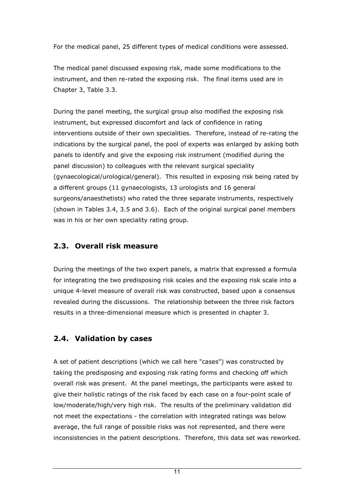For the medical panel, 25 different types of medical conditions were assessed.

The medical panel discussed exposing risk, made some modifications to the instrument, and then re-rated the exposing risk. The final items used are in Chapter 3, Table 3.3.

During the panel meeting, the surgical group also modified the exposing risk instrument, but expressed discomfort and lack of confidence in rating interventions outside of their own specialities. Therefore, instead of re-rating the indications by the surgical panel, the pool of experts was enlarged by asking both panels to identify and give the exposing risk instrument (modified during the panel discussion) to colleagues with the relevant surgical speciality (gynaecological/urological/general). This resulted in exposing risk being rated by a different groups (11 gynaecologists, 13 urologists and 16 general surgeons/anaesthetists) who rated the three separate instruments, respectively (shown in Tables 3.4, 3.5 and 3.6). Each of the original surgical panel members was in his or her own speciality rating group.

## **2.3. Overall risk measure**

During the meetings of the two expert panels, a matrix that expressed a formula for integrating the two predisposing risk scales and the exposing risk scale into a unique 4-level measure of overall risk was constructed, based upon a consensus revealed during the discussions. The relationship between the three risk factors results in a three-dimensional measure which is presented in chapter 3.

## **2.4. Validation by cases**

A set of patient descriptions (which we call here "cases") was constructed by taking the predisposing and exposing risk rating forms and checking off which overall risk was present. At the panel meetings, the participants were asked to give their holistic ratings of the risk faced by each case on a four-point scale of low/moderate/high/very high risk. The results of the preliminary validation did not meet the expectations - the correlation with integrated ratings was below average, the full range of possible risks was not represented, and there were inconsistencies in the patient descriptions. Therefore, this data set was reworked.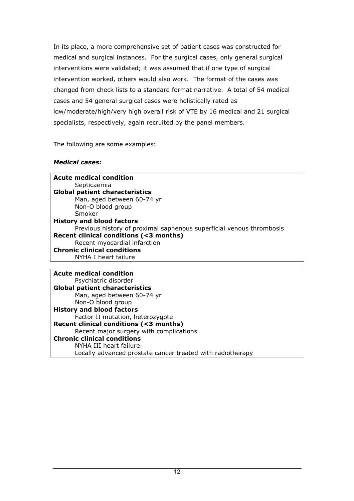In its place, a more comprehensive set of patient cases was constructed for medical and surgical instances. For the surgical cases, only general surgical interventions were validated; it was assumed that if one type of surgical intervention worked, others would also work. The format of the cases was changed from check lists to a standard format narrative. A total of 54 medical cases and 54 general surgical cases were holistically rated as low/moderate/high/very high overall risk of VTE by 16 medical and 21 surgical specialists, respectively, again recruited by the panel members.

The following are some examples:

#### *Medical cases:*

**Acute medical condition**  Septicaemia **Global patient characteristics**  Man, aged between 60-74 yr Non-O blood group Smoker **History and blood factors**  Previous history of proximal saphenous superficial venous thrombosis **Recent clinical conditions (<3 months)**  Recent myocardial infarction **Chronic clinical conditions**  NYHA I heart failure

**Acute medical condition**  Psychiatric disorder **Global patient characteristics**  Man, aged between 60-74 yr Non-O blood group **History and blood factors**  Factor II mutation, heterozygote **Recent clinical conditions (<3 months)**  Recent major surgery with complications **Chronic clinical conditions**  NYHA III heart failure Locally advanced prostate cancer treated with radiotherapy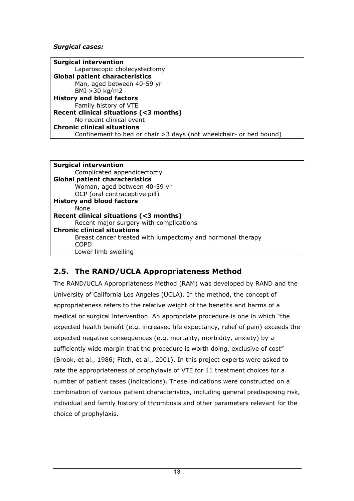#### *Surgical cases:*

| <b>Surgical intervention</b>                                        |
|---------------------------------------------------------------------|
| Laparoscopic cholecystectomy                                        |
| <b>Global patient characteristics</b>                               |
| Man, aged between 40-59 yr                                          |
| $BMI > 30$ kg/m2                                                    |
| <b>History and blood factors</b>                                    |
| Family history of VTE                                               |
| Recent clinical situations (<3 months)                              |
| No recent clinical event                                            |
| <b>Chronic clinical situations</b>                                  |
| Confinement to bed or chair > 3 days (not wheelchair- or bed bound) |

**Surgical intervention**  Complicated appendicectomy **Global patient characteristics**  Woman, aged between 40-59 yr OCP (oral contraceptive pill) **History and blood factors**  None **Recent clinical situations (<3 months)**  Recent major surgery with complications **Chronic clinical situations**  Breast cancer treated with lumpectomy and hormonal therapy COPD Lower limb swelling

## **2.5. The RAND/UCLA Appropriateness Method**

The RAND/UCLA Appropriateness Method (RAM) was developed by RAND and the University of California Los Angeles (UCLA). In the method, the concept of appropriateness refers to the relative weight of the benefits and harms of a medical or surgical intervention. An appropriate procedure is one in which "the expected health benefit (e.g. increased life expectancy, relief of pain) exceeds the expected negative consequences (e.g. mortality, morbidity, anxiety) by a sufficiently wide margin that the procedure is worth doing, exclusive of cost" (Brook, et al., 1986; Fitch, et al., 2001). In this project experts were asked to rate the appropriateness of prophylaxis of VTE for 11 treatment choices for a number of patient cases (indications). These indications were constructed on a combination of various patient characteristics, including general predisposing risk, individual and family history of thrombosis and other parameters relevant for the choice of prophylaxis.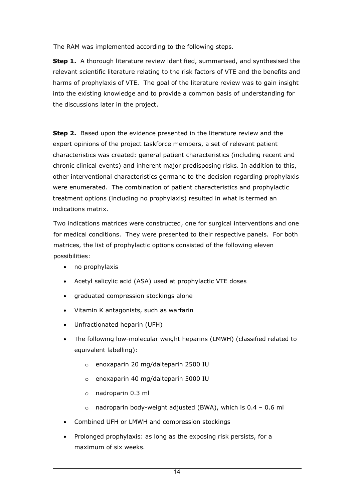The RAM was implemented according to the following steps.

**Step 1.** A thorough literature review identified, summarised, and synthesised the relevant scientific literature relating to the risk factors of VTE and the benefits and harms of prophylaxis of VTE. The goal of the literature review was to gain insight into the existing knowledge and to provide a common basis of understanding for the discussions later in the project.

**Step 2.** Based upon the evidence presented in the literature review and the expert opinions of the project taskforce members, a set of relevant patient characteristics was created: general patient characteristics (including recent and chronic clinical events) and inherent major predisposing risks. In addition to this, other interventional characteristics germane to the decision regarding prophylaxis were enumerated. The combination of patient characteristics and prophylactic treatment options (including no prophylaxis) resulted in what is termed an indications matrix.

Two indications matrices were constructed, one for surgical interventions and one for medical conditions. They were presented to their respective panels. For both matrices, the list of prophylactic options consisted of the following eleven possibilities:

- no prophylaxis
- Acetyl salicylic acid (ASA) used at prophylactic VTE doses
- graduated compression stockings alone
- Vitamin K antagonists, such as warfarin
- Unfractionated heparin (UFH)
- The following low-molecular weight heparins (LMWH) (classified related to equivalent labelling):
	- o enoxaparin 20 mg/dalteparin 2500 IU
	- o enoxaparin 40 mg/dalteparin 5000 IU
	- o nadroparin 0.3 ml
	- $\circ$  nadroparin body-weight adjusted (BWA), which is 0.4 0.6 ml
- Combined UFH or LMWH and compression stockings
- Prolonged prophylaxis: as long as the exposing risk persists, for a maximum of six weeks.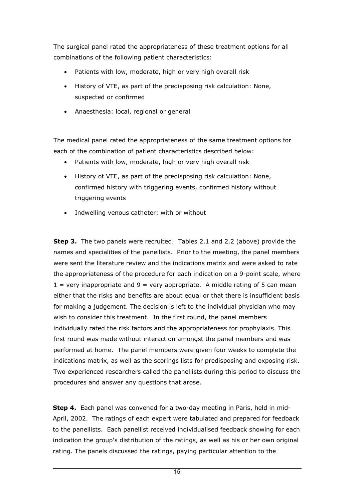The surgical panel rated the appropriateness of these treatment options for all combinations of the following patient characteristics:

- Patients with low, moderate, high or very high overall risk
- History of VTE, as part of the predisposing risk calculation: None, suspected or confirmed
- Anaesthesia: local, regional or general

The medical panel rated the appropriateness of the same treatment options for each of the combination of patient characteristics described below:

- Patients with low, moderate, high or very high overall risk
- History of VTE, as part of the predisposing risk calculation: None, confirmed history with triggering events, confirmed history without triggering events
- Indwelling venous catheter: with or without

**Step 3.** The two panels were recruited. Tables 2.1 and 2.2 (above) provide the names and specialities of the panellists. Prior to the meeting, the panel members were sent the literature review and the indications matrix and were asked to rate the appropriateness of the procedure for each indication on a 9-point scale, where  $1$  = very inappropriate and 9 = very appropriate. A middle rating of 5 can mean either that the risks and benefits are about equal or that there is insufficient basis for making a judgement. The decision is left to the individual physician who may wish to consider this treatment. In the first round, the panel members individually rated the risk factors and the appropriateness for prophylaxis. This first round was made without interaction amongst the panel members and was performed at home. The panel members were given four weeks to complete the indications matrix, as well as the scorings lists for predisposing and exposing risk. Two experienced researchers called the panellists during this period to discuss the procedures and answer any questions that arose.

**Step 4.** Each panel was convened for a two-day meeting in Paris, held in mid-April, 2002. The ratings of each expert were tabulated and prepared for feedback to the panellists. Each panellist received individualised feedback showing for each indication the group's distribution of the ratings, as well as his or her own original rating. The panels discussed the ratings, paying particular attention to the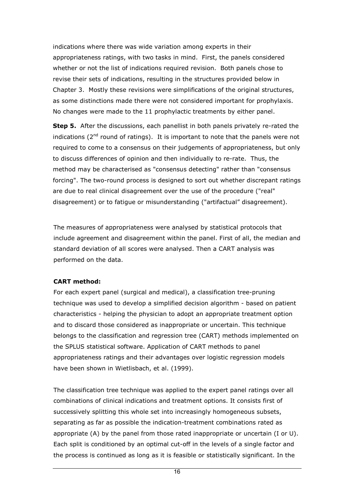indications where there was wide variation among experts in their appropriateness ratings, with two tasks in mind. First, the panels considered whether or not the list of indications required revision. Both panels chose to revise their sets of indications, resulting in the structures provided below in Chapter 3. Mostly these revisions were simplifications of the original structures, as some distinctions made there were not considered important for prophylaxis. No changes were made to the 11 prophylactic treatments by either panel.

**Step 5.** After the discussions, each panellist in both panels privately re-rated the indications ( $2<sup>nd</sup>$  round of ratings). It is important to note that the panels were not required to come to a consensus on their judgements of appropriateness, but only to discuss differences of opinion and then individually to re-rate. Thus, the method may be characterised as "consensus detecting" rather than "consensus forcing". The two-round process is designed to sort out whether discrepant ratings are due to real clinical disagreement over the use of the procedure ("real" disagreement) or to fatigue or misunderstanding ("artifactual" disagreement).

The measures of appropriateness were analysed by statistical protocols that include agreement and disagreement within the panel. First of all, the median and standard deviation of all scores were analysed. Then a CART analysis was performed on the data.

#### **CART method:**

For each expert panel (surgical and medical), a classification tree-pruning technique was used to develop a simplified decision algorithm - based on patient characteristics - helping the physician to adopt an appropriate treatment option and to discard those considered as inappropriate or uncertain. This technique belongs to the classification and regression tree (CART) methods implemented on the SPLUS statistical software. Application of CART methods to panel appropriateness ratings and their advantages over logistic regression models have been shown in Wietlisbach, et al. (1999).

The classification tree technique was applied to the expert panel ratings over all combinations of clinical indications and treatment options. It consists first of successively splitting this whole set into increasingly homogeneous subsets, separating as far as possible the indication-treatment combinations rated as appropriate (A) by the panel from those rated inappropriate or uncertain (I or U). Each split is conditioned by an optimal cut-off in the levels of a single factor and the process is continued as long as it is feasible or statistically significant. In the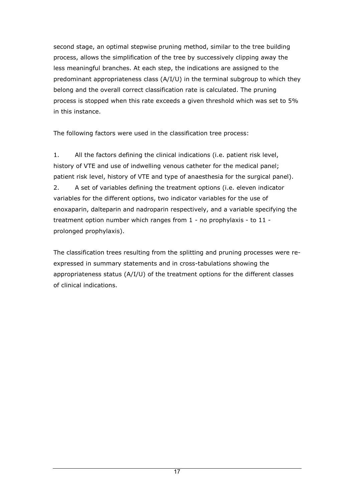second stage, an optimal stepwise pruning method, similar to the tree building process, allows the simplification of the tree by successively clipping away the less meaningful branches. At each step, the indications are assigned to the predominant appropriateness class (A/I/U) in the terminal subgroup to which they belong and the overall correct classification rate is calculated. The pruning process is stopped when this rate exceeds a given threshold which was set to 5% in this instance.

The following factors were used in the classification tree process:

1. All the factors defining the clinical indications (i.e. patient risk level, history of VTE and use of indwelling venous catheter for the medical panel; patient risk level, history of VTE and type of anaesthesia for the surgical panel). 2. A set of variables defining the treatment options (i.e. eleven indicator variables for the different options, two indicator variables for the use of enoxaparin, dalteparin and nadroparin respectively, and a variable specifying the treatment option number which ranges from 1 - no prophylaxis - to 11 prolonged prophylaxis).

The classification trees resulting from the splitting and pruning processes were reexpressed in summary statements and in cross-tabulations showing the appropriateness status (A/I/U) of the treatment options for the different classes of clinical indications.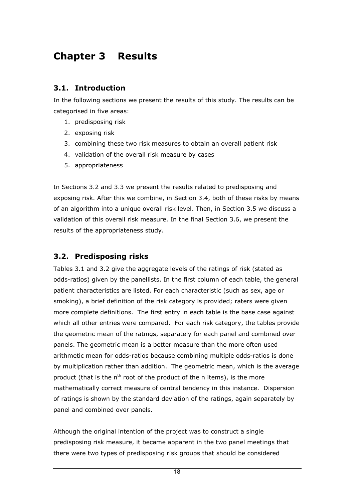## **Chapter 3 Results**

## **3.1. Introduction**

In the following sections we present the results of this study. The results can be categorised in five areas:

- 1. predisposing risk
- 2. exposing risk
- 3. combining these two risk measures to obtain an overall patient risk
- 4. validation of the overall risk measure by cases
- 5. appropriateness

In Sections 3.2 and 3.3 we present the results related to predisposing and exposing risk. After this we combine, in Section 3.4, both of these risks by means of an algorithm into a unique overall risk level. Then, in Section 3.5 we discuss a validation of this overall risk measure. In the final Section 3.6, we present the results of the appropriateness study.

## **3.2. Predisposing risks**

Tables 3.1 and 3.2 give the aggregate levels of the ratings of risk (stated as odds-ratios) given by the panellists. In the first column of each table, the general patient characteristics are listed. For each characteristic (such as sex, age or smoking), a brief definition of the risk category is provided; raters were given more complete definitions. The first entry in each table is the base case against which all other entries were compared. For each risk category, the tables provide the geometric mean of the ratings, separately for each panel and combined over panels. The geometric mean is a better measure than the more often used arithmetic mean for odds-ratios because combining multiple odds-ratios is done by multiplication rather than addition. The geometric mean, which is the average product (that is the  $n<sup>th</sup>$  root of the product of the n items), is the more mathematically correct measure of central tendency in this instance. Dispersion of ratings is shown by the standard deviation of the ratings, again separately by panel and combined over panels.

Although the original intention of the project was to construct a single predisposing risk measure, it became apparent in the two panel meetings that there were two types of predisposing risk groups that should be considered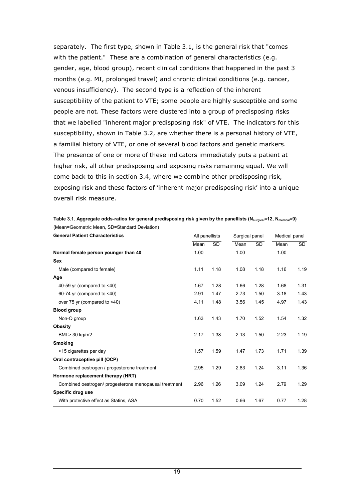separately. The first type, shown in Table 3.1, is the general risk that "comes with the patient." These are a combination of general characteristics (e.g. gender, age, blood group), recent clinical conditions that happened in the past 3 months (e.g. MI, prolonged travel) and chronic clinical conditions (e.g. cancer, venous insufficiency). The second type is a reflection of the inherent susceptibility of the patient to VTE; some people are highly susceptible and some people are not. These factors were clustered into a group of predisposing risks that we labelled "inherent major predisposing risk" of VTE. The indicators for this susceptibility, shown in Table 3.2, are whether there is a personal history of VTE, a familial history of VTE, or one of several blood factors and genetic markers. The presence of one or more of these indicators immediately puts a patient at higher risk, all other predisposing and exposing risks remaining equal. We will come back to this in section 3.4, where we combine other predisposing risk, exposing risk and these factors of 'inherent major predisposing risk' into a unique overall risk measure.

| Table 3.1. Aggregate odds-ratios for general predisposing risk given by the panellists (N <sub>surgica</sub> =12, N <sub>medica</sub> =9) |  |
|-------------------------------------------------------------------------------------------------------------------------------------------|--|
| (Mean=Geometric Mean, SD=Standard Deviation)                                                                                              |  |

| All panellists |           | Surgical panel |           | Medical panel |           |
|----------------|-----------|----------------|-----------|---------------|-----------|
| Mean           | <b>SD</b> | Mean           | <b>SD</b> | Mean          | <b>SD</b> |
| 1.00           |           | 1.00           |           | 1.00          |           |
|                |           |                |           |               |           |
| 1.11           | 1.18      | 1.08           | 1.18      | 1.16          | 1.19      |
|                |           |                |           |               |           |
| 1.67           | 1.28      | 1.66           | 1.28      | 1.68          | 1.31      |
| 2.91           | 1.47      | 2.73           | 1.50      | 3.18          | 1.43      |
| 4.11           | 1.48      | 3.56           | 1.45      | 4.97          | 1.43      |
|                |           |                |           |               |           |
| 1.63           | 1.43      | 1.70           | 1.52      | 1.54          | 1.32      |
|                |           |                |           |               |           |
| 2.17           | 1.38      | 2.13           | 1.50      | 2.23          | 1.19      |
|                |           |                |           |               |           |
| 1.57           | 1.59      | 1.47           | 1.73      | 1.71          | 1.39      |
|                |           |                |           |               |           |
| 2.95           | 1.29      | 2.83           | 1.24      | 3.11          | 1.36      |
|                |           |                |           |               |           |
| 2.96           | 1.26      | 3.09           | 1.24      | 2.79          | 1.29      |
|                |           |                |           |               |           |
| 0.70           | 1.52      | 0.66           | 1.67      | 0.77          | 1.28      |
|                |           |                |           |               |           |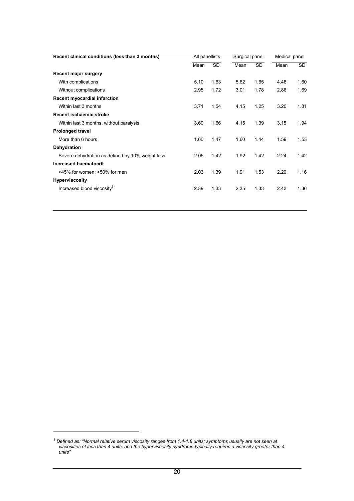| Recent clinical conditions (less than 3 months)  | All panellists |           | Surgical panel |      | Medical panel |      |
|--------------------------------------------------|----------------|-----------|----------------|------|---------------|------|
|                                                  | Mean           | <b>SD</b> | Mean           | SD   | Mean          | SD.  |
| <b>Recent major surgery</b>                      |                |           |                |      |               |      |
| With complications                               | 5.10           | 1.63      | 5.62           | 1.65 | 4.48          | 1.60 |
| Without complications                            | 2.95           | 1.72      | 3.01           | 1.78 | 2.86          | 1.69 |
| <b>Recent myocardial infarction</b>              |                |           |                |      |               |      |
| Within last 3 months                             | 3.71           | 1.54      | 4.15           | 1.25 | 3.20          | 1.81 |
| Recent ischaemic stroke                          |                |           |                |      |               |      |
| Within last 3 months, without paralysis          | 3.69           | 1.66      | 4.15           | 1.39 | 3.15          | 1.94 |
| <b>Prolonged travel</b>                          |                |           |                |      |               |      |
| More than 6 hours                                | 1.60           | 1.47      | 1.60           | 1.44 | 1.59          | 1.53 |
| Dehydration                                      |                |           |                |      |               |      |
| Severe dehydration as defined by 10% weight loss | 2.05           | 1.42      | 1.92           | 1.42 | 2.24          | 1.42 |
| <b>Increased haematocrit</b>                     |                |           |                |      |               |      |
| >45% for women; >50% for men                     | 2.03           | 1.39      | 1.91           | 1.53 | 2.20          | 1.16 |
| <b>Hyperviscosity</b>                            |                |           |                |      |               |      |
| Increased blood viscosity <sup>3</sup>           | 2.39           | 1.33      | 2.35           | 1.33 | 2.43          | 1.36 |

l

*<sup>3</sup> Defined as: "Normal relative serum viscosity ranges from 1.4-1.8 units; symptoms usually are not seen at viscosities of less than 4 units, and the hyperviscosity syndrome typically requires a viscosity greater than 4 units"*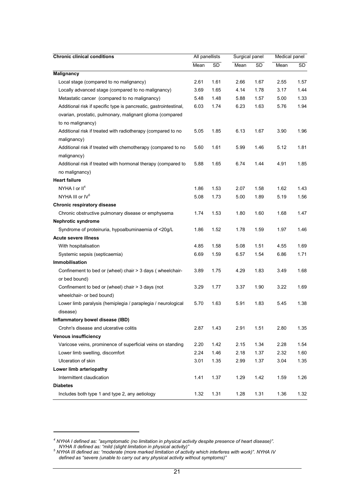| <b>Chronic clinical conditions</b>                                |      | All panellists |      | Surgical panel |      | Medical panel |  |
|-------------------------------------------------------------------|------|----------------|------|----------------|------|---------------|--|
|                                                                   | Mean | SD             | Mean | SD             | Mean | SD            |  |
| <b>Malignancy</b>                                                 |      |                |      |                |      |               |  |
| Local stage (compared to no malignancy)                           | 2.61 | 1.61           | 2.66 | 1.67           | 2.55 | 1.57          |  |
| Locally advanced stage (compared to no malignancy)                | 3.69 | 1.65           | 4.14 | 1.78           | 3.17 | 1.44          |  |
| Metastatic cancer (compared to no malignancy)                     | 5.48 | 1.48           | 5.88 | 1.57           | 5.00 | 1.33          |  |
| Additional risk if specific type is pancreatic, gastrointestinal, | 6.03 | 1.74           | 6.23 | 1.63           | 5.76 | 1.94          |  |
| ovarian, prostatic, pulmonary, malignant glioma (compared         |      |                |      |                |      |               |  |
| to no malignancy)                                                 |      |                |      |                |      |               |  |
| Additional risk if treated with radiotherapy (compared to no      | 5.05 | 1.85           | 6.13 | 1.67           | 3.90 | 1.96          |  |
| malignancy)                                                       |      |                |      |                |      |               |  |
| Additional risk if treated with chemotherapy (compared to no      | 5.60 | 1.61           | 5.99 | 1.46           | 5.12 | 1.81          |  |
| malignancy)                                                       |      |                |      |                |      |               |  |
| Additional risk if treated with hormonal therapy (compared to     | 5.88 | 1.65           | 6.74 | 1.44           | 4.91 | 1.85          |  |
| no malignancy)                                                    |      |                |      |                |      |               |  |
| <b>Heart failure</b>                                              |      |                |      |                |      |               |  |
| NYHA I or $II^4$                                                  | 1.86 | 1.53           | 2.07 | 1.58           | 1.62 | 1.43          |  |
| NYHA III or IV <sup>5</sup>                                       | 5.08 | 1.73           | 5.00 | 1.89           | 5.19 | 1.56          |  |
| Chronic respiratory disease                                       |      |                |      |                |      |               |  |
| Chronic obstructive pulmonary disease or emphysema                | 1.74 | 1.53           | 1.80 | 1.60           | 1.68 | 1.47          |  |
| Nephrotic syndrome                                                |      |                |      |                |      |               |  |
| Syndrome of proteinuria, hypoalbuminaemia of <20g/L               | 1.86 | 1.52           | 1.78 | 1.59           | 1.97 | 1.46          |  |
| <b>Acute severe illness</b>                                       |      |                |      |                |      |               |  |
| With hospitalisation                                              | 4.85 | 1.58           | 5.08 | 1.51           | 4.55 | 1.69          |  |
| Systemic sepsis (septicaemia)                                     | 6.69 | 1.59           | 6.57 | 1.54           | 6.86 | 1.71          |  |
| Immobilisation                                                    |      |                |      |                |      |               |  |
| Confinement to bed or (wheel) chair > 3 days (wheelchair-         | 3.89 | 1.75           | 4.29 | 1.83           | 3.49 | 1.68          |  |
| or bed bound)                                                     |      |                |      |                |      |               |  |
| Confinement to bed or (wheel) chair > 3 days (not                 | 3.29 | 1.77           | 3.37 | 1.90           | 3.22 | 1.69          |  |
| wheelchair- or bed bound)                                         |      |                |      |                |      |               |  |
| Lower limb paralysis (hemiplegia / paraplegia / neurological      | 5.70 | 1.63           | 5.91 | 1.83           | 5.45 | 1.38          |  |
| disease)                                                          |      |                |      |                |      |               |  |
| Inflammatory bowel disease (IBD)                                  |      |                |      |                |      |               |  |
| Crohn's disease and ulcerative colitis                            | 2.87 | 1.43           | 2.91 | 1.51           | 2.80 | 1.35          |  |
| <b>Venous insufficiency</b>                                       |      |                |      |                |      |               |  |
| Varicose veins, prominence of superficial veins on standing       | 2.20 | 1.42           | 2.15 | 1.34           | 2.28 | 1.54          |  |
| Lower limb swelling, discomfort                                   | 2.24 | 1.46           | 2.18 | 1.37           | 2.32 | 1.60          |  |
| Ulceration of skin                                                | 3.01 | 1.35           | 2.99 | 1.37           | 3.04 | 1.35          |  |
| Lower limb arteriopathy                                           |      |                |      |                |      |               |  |
| Intermittent claudication                                         | 1.41 | 1.37           | 1.29 | 1.42           | 1.59 | 1.26          |  |
| <b>Diabetes</b>                                                   |      |                |      |                |      |               |  |
| Includes both type 1 and type 2, any aetiology                    | 1.32 | 1.31           | 1.28 | 1.31           | 1.36 | 1.32          |  |

l

*<sup>4</sup> NYHA I defined as: "asymptomatic (no limitation in physical activity despite presence of heart disease)". NYHA II defined as: "mild (slight limitation in physical activity)" 5 NYHA III defined as: "moderate (more marked limitation of activity which interferes with work)". NYHA IV* 

*defined as "severe (unable to carry out any physical activity without symptoms)"*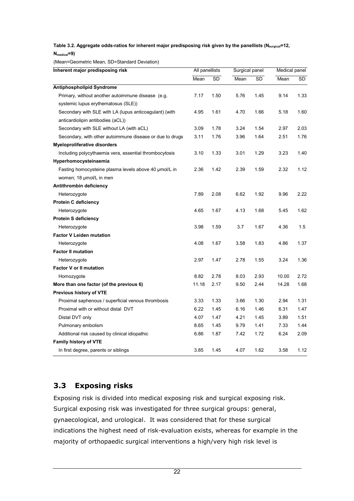#### Table 3.2. Aggregate odds-ratios for inherent major predisposing risk given by the panellists (N<sub>surgical</sub>=12, **Nmedical=9)**

(Mean=Geometric Mean, SD=Standard Deviation)

| Inherent major predisposing risk                         |       | All panellists |      | Surgical panel |       | Medical panel |  |
|----------------------------------------------------------|-------|----------------|------|----------------|-------|---------------|--|
|                                                          | Mean  | <b>SD</b>      | Mean | SD             | Mean  | SD            |  |
| <b>Antiphospholipid Syndrome</b>                         |       |                |      |                |       |               |  |
| Primary, without another autoimmune disease (e.g.        | 7.17  | 1.50           | 5.76 | 1.45           | 9.14  | 1.33          |  |
| systemic lupus erythematosus (SLE))                      |       |                |      |                |       |               |  |
| Secondary with SLE with LA (lupus anticoagulant) (with   | 4.95  | 1.61           | 4.70 | 1.66           | 5.18  | 1.60          |  |
| anticardiolipin antibodies (aCL))                        |       |                |      |                |       |               |  |
| Secondary with SLE without LA (with aCL)                 | 3.09  | 1.78           | 3.24 | 1.54           | 2.97  | 2.03          |  |
| Secondary, with other autoimmune disease or due to drugs | 3.11  | 1.76           | 3.96 | 1.64           | 2.51  | 1.76          |  |
| <b>Myeloproliferative disorders</b>                      |       |                |      |                |       |               |  |
| Including polycythaemia vera, essential thrombocytosis   | 3.10  | 1.33           | 3.01 | 1.29           | 3.23  | 1.40          |  |
| Hyperhomocysteinaemia                                    |       |                |      |                |       |               |  |
| Fasting homocysteine plasma levels above 40 µmol/L in    | 2.36  | 1.42           | 2.39 | 1.59           | 2.32  | 1.12          |  |
| women; 18 µmol/L in men                                  |       |                |      |                |       |               |  |
| Antithrombin deficiency                                  |       |                |      |                |       |               |  |
| Heterozygote                                             | 7.89  | 2.08           | 6.62 | 1.92           | 9.96  | 2.22          |  |
| <b>Protein C deficiency</b>                              |       |                |      |                |       |               |  |
| Heterozygote                                             |       | 1.67           | 4.13 | 1.68           | 5.45  | 1.62          |  |
| <b>Protein S deficiency</b>                              |       |                |      |                |       |               |  |
| Heterozygote                                             | 3.98  | 1.59           | 3.7  | 1.67           | 4.36  | 1.5           |  |
| <b>Factor V Leiden mutation</b>                          |       |                |      |                |       |               |  |
| Heterozygote                                             | 4.08  | 1.67           | 3.58 | 1.83           | 4.86  | 1.37          |  |
| <b>Factor II mutation</b>                                |       |                |      |                |       |               |  |
| Heterozygote                                             | 2.97  | 1.47           | 2.78 | 1.55           | 3.24  | 1.36          |  |
| <b>Factor V or II mutation</b>                           |       |                |      |                |       |               |  |
| Homozygote                                               | 8.82  | 2.78           | 8.03 | 2.93           | 10.00 | 2.72          |  |
| More than one factor (of the previous 6)                 | 11.18 | 2.17           | 9.50 | 2.44           | 14.28 | 1.68          |  |
| <b>Previous history of VTE</b>                           |       |                |      |                |       |               |  |
| Proximal saphenous / superficial venous thrombosis       | 3.33  | 1.33           | 3.66 | 1.30           | 2.94  | 1.31          |  |
| Proximal with or without distal DVT                      | 6.22  | 1.45           | 6.16 | 1.46           | 6.31  | 1.47          |  |
| Distal DVT only                                          | 4.07  | 1.47           | 4.21 | 1.45           | 3.89  | 1.51          |  |
| Pulmonary embolism                                       | 8.65  | 1.45           | 9.79 | 1.41           | 7.33  | 1.44          |  |
| Additional risk caused by clinical idiopathic            | 6.86  | 1.87           | 7.42 | 1.72           | 6.24  | 2.09          |  |
| <b>Family history of VTE</b>                             |       |                |      |                |       |               |  |
| In first degree, parents or siblings                     | 3.85  | 1.45           | 4.07 | 1.62           | 3.58  | 1.12          |  |

## **3.3 Exposing risks**

Exposing risk is divided into medical exposing risk and surgical exposing risk. Surgical exposing risk was investigated for three surgical groups: general, gynaecological, and urological. It was considered that for these surgical indications the highest need of risk-evaluation exists, whereas for example in the majority of orthopaedic surgical interventions a high/very high risk level is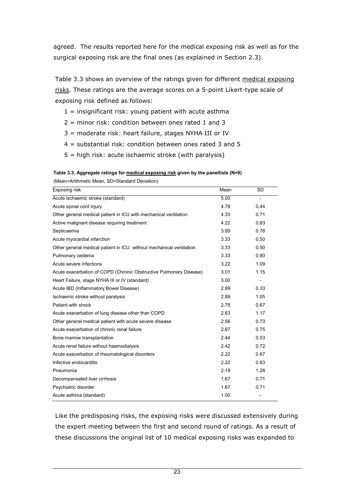agreed. The results reported here for the medical exposing risk as well as for the surgical exposing risk are the final ones (as explained in Section 2.3).

Table 3.3 shows an overview of the ratings given for different medical exposing risks. These ratings are the average scores on a 5-point Likert-type scale of exposing risk defined as follows:

- $1$  = insignificant risk: young patient with acute asthma
- $2$  = minor risk: condition between ones rated 1 and 3
- 3 = moderate risk: heart failure, stages NYHA III or IV
- 4 = substantial risk: condition between ones rated 3 and 5
- $5$  = high risk: acute ischaemic stroke (with paralysis)

#### **Table 3.3. Aggregate ratings for medical exposing risk given by the panellists (N=9)**

(Mean=Arithmetic Mean, SD=Standard Deviation)

| Exposing risk                                                       | Mean | <b>SD</b>                |
|---------------------------------------------------------------------|------|--------------------------|
| Acute ischaemic stroke (standard)                                   | 5.00 | $\overline{\phantom{a}}$ |
| Acute spinal cord injury                                            | 4.78 | 0.44                     |
| Other general medical patient in ICU with mechanical ventilation    | 4.33 | 0.71                     |
| Active malignant disease requiring treatment                        | 4.22 | 0.83                     |
| Septicaemia                                                         | 3.89 | 0.78                     |
| Acute myocardial infarction                                         | 3.33 | 0.50                     |
| Other general medical patient in ICU without mechanical ventilation | 3.33 | 0.50                     |
| Pulmonary oedema                                                    | 3.33 | 0.80                     |
| Acute severe infections                                             | 3.22 | 1.09                     |
| Acute exacerbation of COPD (Chronic Obstructive Pulmonary Disease)  | 3.01 | 1.15                     |
| Heart Failure, stage NYHA III or IV (standard)                      | 3.00 |                          |
| Acute IBD (Inflammatory Bowel Disease)                              | 2.89 | 0.33                     |
| Ischaemic stroke without paralysis                                  | 2.89 | 1.05                     |
| Patient with shock                                                  | 2.78 | 0.67                     |
| Acute exacerbation of lung disease other than COPD                  | 2.63 | 1.17                     |
| Other general medical patient with acute severe disease             | 2.56 | 0.73                     |
| Acute exacerbation of chronic renal failure                         | 2.67 | 0.75                     |
| Bone marrow transplantation                                         | 2.44 | 0.53                     |
| Acute renal failure without haemodialysis                           | 2.42 | 0.72                     |
| Acute exacerbation of rheumatological disorders                     | 2.22 | 0.67                     |
| Infective endocarditis                                              | 2.22 | 0.83                     |
| Pneumonia                                                           | 2.19 | 1.28                     |
| Decompensated liver cirrhosis                                       | 1.67 | 0.71                     |
| Psychiatric disorder                                                | 1.67 | 0.71                     |
| Acute asthma (standard)                                             | 1.00 |                          |

Like the predisposing risks, the exposing risks were discussed extensively during the expert meeting between the first and second round of ratings. As a result of these discussions the original list of 10 medical exposing risks was expanded to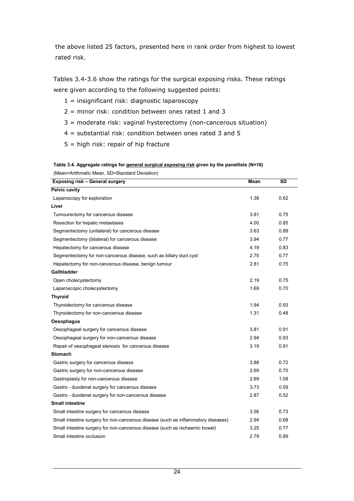the above listed 25 factors, presented here in rank order from highest to lowest rated risk.

Tables 3.4-3.6 show the ratings for the surgical exposing risks. These ratings were given according to the following suggested points:

- $1 =$  insignificant risk: diagnostic laparoscopy
- $2 =$  minor risk: condition between ones rated 1 and 3
- 3 = moderate risk: vaginal hysterectomy (non-cancerous situation)
- 4 = substantial risk: condition between ones rated 3 and 5
- $5$  = high risk: repair of hip fracture

**Table 3.4. Aggregate ratings for general surgical exposing risk given by the panellists (N=16)**  (Mean=Arithmetic Mean, SD=Standard Deviation)

| <b>Exposing risk - General surgery</b>                                            | Mean | <b>SD</b> |
|-----------------------------------------------------------------------------------|------|-----------|
| <b>Pelvic cavity</b>                                                              |      |           |
| Laparoscopy for exploration                                                       | 1.38 | 0.62      |
| Liver                                                                             |      |           |
| Tumourectomy for cancerous disease                                                | 3.81 | 0.75      |
| Resection for hepatic metastases                                                  | 4.00 | 0.85      |
| Segmentectomy (unilateral) for cancerous disease                                  | 3.63 | 0.89      |
| Segmentectomy (bilateral) for cancerous disease                                   | 3.94 | 0.77      |
| Hepatectomy for cancerous disease                                                 | 4.19 | 0.83      |
| Segmentectomy for non-cancerous disease, such as biliary duct cyst                | 2.75 | 0.77      |
| Hepatectomy for non-cancerous disease, benign tumour                              | 2.81 | 0.75      |
| <b>Gallbladder</b>                                                                |      |           |
| Open cholecystectomy                                                              | 2.19 | 0.75      |
| Laparoscopic cholecystectomy                                                      | 1.69 | 0.70      |
| <b>Thyroid</b>                                                                    |      |           |
| Thyroidectomy for cancerous disease                                               | 1.94 | 0.93      |
| Thyroidectomy for non-cancerous disease                                           | 1.31 | 0.48      |
| <b>Oesophagus</b>                                                                 |      |           |
| Oesophageal surgery for cancerous disease                                         | 3.81 | 0.91      |
| Oesophageal surgery for non-cancerous disease                                     | 2.94 | 0.93      |
| Repair of oesophageal stenosis for cancerous disease                              | 3.19 | 0.91      |
| <b>Stomach</b>                                                                    |      |           |
| Gastric surgery for cancerous disease                                             | 3.88 | 0.72      |
| Gastric surgery for non-cancerous disease                                         | 2.69 | 0.70      |
| Gastroplasty for non-cancerous disease                                            | 2.69 | 1.08      |
| Gastro - duodenal surgery for cancerous disease                                   | 3.73 | 0.59      |
| Gastro - duodenal surgery for non-cancerous disease                               | 2.87 | 0.52      |
| <b>Small intestine</b>                                                            |      |           |
| Small intestine surgery for cancerous disease                                     | 3.56 | 0.73      |
| Small intestine surgery for non-cancerous disease (such as inflammatory diseases) | 2.94 | 0.68      |
| Small intestine surgery for non-cancerous disease (such as ischaemic bowel)       | 3.25 | 0.77      |
| Small intestine occlusion                                                         | 2.79 | 0.89      |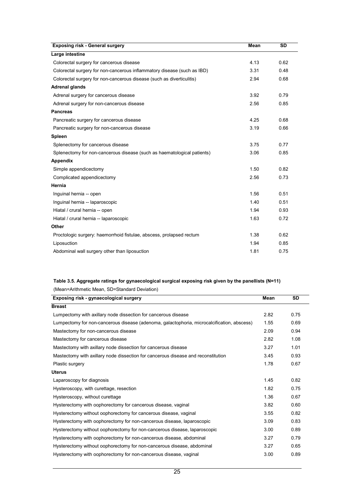| <b>Exposing risk - General surgery</b>                                  | Mean | <b>SD</b> |
|-------------------------------------------------------------------------|------|-----------|
| Large intestine                                                         |      |           |
| Colorectal surgery for cancerous disease                                | 4.13 | 0.62      |
| Colorectal surgery for non-cancerous inflammatory disease (such as IBD) | 3.31 | 0.48      |
| Colorectal surgery for non-cancerous disease (such as diverticulitis)   | 2.94 | 0.68      |
| <b>Adrenal glands</b>                                                   |      |           |
| Adrenal surgery for cancerous disease                                   | 3.92 | 0.79      |
| Adrenal surgery for non-cancerous disease                               | 2.56 | 0.85      |
| <b>Pancreas</b>                                                         |      |           |
| Pancreatic surgery for cancerous disease                                | 4.25 | 0.68      |
| Pancreatic surgery for non-cancerous disease                            | 3.19 | 0.66      |
| Spleen                                                                  |      |           |
| Splenectomy for cancerous disease                                       | 3.75 | 0.77      |
| Splenectomy for non-cancerous disease (such as haematological patients) | 3.06 | 0.85      |
| Appendix                                                                |      |           |
| Simple appendicectomy                                                   | 1.50 | 0.82      |
| Complicated appendicectomy                                              | 2.56 | 0.73      |
| Hernia                                                                  |      |           |
| Inguinal hernia -- open                                                 | 1.56 | 0.51      |
| Inguinal hernia -- laparoscopic                                         | 1.40 | 0.51      |
| Hiatal / crural hernia -- open                                          | 1.94 | 0.93      |
| Hiatal / crural hernia -- laparoscopic                                  | 1.63 | 0.72      |
| Other                                                                   |      |           |
| Proctologic surgery: haemorrhoid fistulae, abscess, prolapsed rectum    | 1.38 | 0.62      |
| Liposuction                                                             | 1.94 | 0.85      |
| Abdominal wall surgery other than liposuction                           | 1.81 | 0.75      |

#### **Table 3.5. Aggregate ratings for gynaecological surgical exposing risk given by the panellists (N=11)**

| (Mean=Arithmetic Mean, SD=Standard Deviation)                                              |      |           |
|--------------------------------------------------------------------------------------------|------|-----------|
| Exposing risk - gynaecological surgery                                                     | Mean | <b>SD</b> |
| <b>Breast</b>                                                                              |      |           |
| Lumpectomy with axillary node dissection for cancerous disease                             | 2.82 | 0.75      |
| Lumpectomy for non-cancerous disease (adenoma, galactophoria, microcalcification, abscess) | 1.55 | 0.69      |
| Mastectomy for non-cancerous disease                                                       | 2.09 | 0.94      |
| Mastectomy for cancerous disease                                                           | 2.82 | 1.08      |
| Mastectomy with axillary node dissection for cancerous disease                             | 3.27 | 1.01      |
| Mastectomy with axillary node dissection for cancerous disease and reconstitution          | 3.45 | 0.93      |
| Plastic surgery                                                                            | 1.78 | 0.67      |
| <b>Uterus</b>                                                                              |      |           |
| Laparoscopy for diagnosis                                                                  | 1.45 | 0.82      |
| Hysteroscopy, with curettage, resection                                                    | 1.82 | 0.75      |
| Hysteroscopy, without curettage                                                            | 1.36 | 0.67      |
| Hysterectomy with oophorectomy for cancerous disease, vaginal                              | 3.82 | 0.60      |
| Hysterectomy without oophorectomy for cancerous disease, vaginal                           | 3.55 | 0.82      |
| Hysterectomy with oophorectomy for non-cancerous disease, laparoscopic                     | 3.09 | 0.83      |
| Hysterectomy without oophorectomy for non-cancerous disease, laparoscopic                  | 3.00 | 0.89      |
| Hysterectomy with oophorectomy for non-cancerous disease, abdominal                        | 3.27 | 0.79      |
| Hysterectomy without oophorectomy for non-cancerous disease, abdominal                     | 3.27 | 0.65      |
| Hysterectomy with oophorectomy for non-cancerous disease, vaginal                          | 3.00 | 0.89      |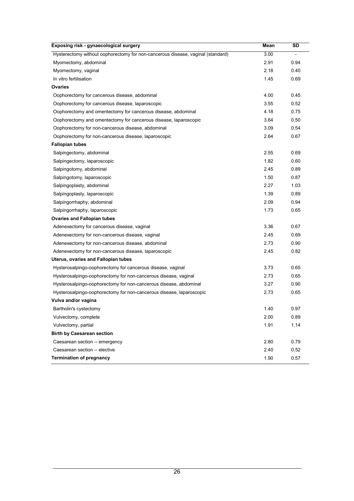| Exposing risk - gynaecological surgery                                          | <b>Mean</b> | SD   |
|---------------------------------------------------------------------------------|-------------|------|
| Hysterectomy without oophorectomy for non-cancerous disease, vaginal (standard) | 3.00        |      |
| Myomectomy, abdominal                                                           | 2.91        | 0.94 |
| Myomectomy, vaginal                                                             | 2.18        | 0.40 |
| In vitro fertilisation                                                          | 1.45        | 0.69 |
| Ovaries                                                                         |             |      |
| Oophorectomy for cancerous disease, abdominal                                   | 4.00        | 0.45 |
| Oophorectomy for cancerous disease, laparoscopic                                | 3.55        | 0.52 |
| Oophorectomy and omentectomy for cancerous disease, abdominal                   | 4.18        | 0.75 |
| Oophorectomy and omentectomy for cancerous disease, laparoscopic                | 3.64        | 0.50 |
| Oophorectomy for non-cancerous disease, abdominal                               | 3.09        | 0.54 |
| Oophorectomy for non-cancerous disease, laparoscopic                            | 2.64        | 0.67 |
| Fallopian tubes                                                                 |             |      |
| Salpingectomy, abdominal                                                        | 2.55        | 0.69 |
| Salpingectomy, laparoscopic                                                     | 1.82        | 0.60 |
| Salpingotomy, abdominal                                                         | 2.45        | 0.89 |
| Salpingotomy, laparoscopic                                                      | 1.50        | 0.87 |
| Salpingoplasty, abdominal                                                       | 2.27        | 1.03 |
| Salpingoplasty, laparoscopic                                                    | 1.39        | 0.89 |
| Salpingorrhaphy, abdominal                                                      | 2.09        | 0.94 |
| Salpingorrhaphy, laparoscopic                                                   | 1.73        | 0.65 |
| <b>Ovaries and Fallopian tubes</b>                                              |             |      |
| Adenexectomy for cancerous disease, vaginal                                     | 3.36        | 0.67 |
| Adenexectomy for non-cancerous disease, vaginal                                 | 2.45        | 0.69 |
| Adenexectomy for non-cancerous disease, abdominal                               | 2.73        | 0.90 |
| Adenexectomy for non-cancerous disease, laparoscopic                            | 2.45        | 0.82 |
| Uterus, ovaries and Fallopian tubes                                             |             |      |
| Hysterosalpingo-oophorectomy for cancerous disease, vaginal                     | 3.73        | 0.65 |
| Hysterosalpingo-oophorectomy for non-cancerous disease, vaginal                 | 2.73        | 0.65 |
| Hysterosalpingo-oophorectomy for non-cancerous disease, abdominal               | 3.27        | 0.90 |
| Hysterosalpingo-oophorectomy for non-cancerous disease, laparoscopic            | 2.73        | 0.65 |
| Vulva and/or vagina                                                             |             |      |
| Bartholin's cystectomy                                                          | 1.40        | 0.97 |
| Vulvectomy, complete                                                            | 2.00        | 0.89 |
| Vulvectomy, partial                                                             | 1.91        | 1.14 |
| <b>Birth by Caesarean section</b>                                               |             |      |
| Caesarean section -- emergency                                                  | 2.80        | 0.79 |
| Caesarean section -- elective                                                   | 2.40        | 0.52 |
| <b>Termination of pregnancy</b>                                                 | 1.90        | 0.57 |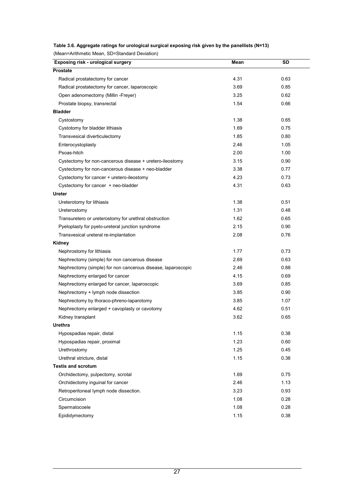#### **Table 3.6. Aggregate ratings for urological surgical exposing risk given by the panellists (N=13)**

(Mean=Arithmetic Mean, SD=Standard Deviation)

| Exposing risk - urological surgery                           | Mean | SD   |
|--------------------------------------------------------------|------|------|
| <b>Prostate</b>                                              |      |      |
| Radical prostatectomy for cancer                             | 4.31 | 0.63 |
| Radical prostatectomy for cancer, laparoscopic               | 3.69 | 0.85 |
| Open adenomectomy (Millin -Freyer)                           | 3.25 | 0.62 |
| Prostate biopsy, transrectal                                 | 1.54 | 0.66 |
| <b>Bladder</b>                                               |      |      |
| Cystostomy                                                   | 1.38 | 0.65 |
| Cystotomy for bladder lithiasis                              | 1.69 | 0.75 |
| Transvesical diverticulectomy                                | 1.85 | 0.80 |
| Enterocystoplasty                                            | 2.46 | 1.05 |
| Psoas-hitch                                                  | 2.00 | 1.00 |
| Cystectomy for non-cancerous disease + uretero-ileostomy     | 3.15 | 0.90 |
| Cystectomy for non-cancerous disease + neo-bladder           | 3.38 | 0.77 |
| Cystectomy for cancer + uretero-ileostomy                    | 4.23 | 0.73 |
| Cystectomy for cancer + neo-bladder                          | 4.31 | 0.63 |
| <b>Ureter</b>                                                |      |      |
| Ureterotomy for lithiasis                                    | 1.38 | 0.51 |
| Ureterostomy                                                 | 1.31 | 0.48 |
| Transuretero or ureterostomy for urethral obstruction        | 1.62 | 0.65 |
| Pyeloplasty for pyelo-ureteral junction syndrome             | 2.15 | 0.90 |
| Transvesical ureteral re-implantation                        | 2.08 | 0.76 |
| Kidney                                                       |      |      |
| Nephrostomy for lithiasis                                    | 1.77 | 0.73 |
| Nephrectomy (simple) for non cancerous disease               | 2.69 | 0.63 |
| Nephrectomy (simple) for non cancerous disease, laparoscopic | 2.46 | 0.88 |
| Nephrectomy enlarged for cancer                              | 4.15 | 0.69 |
| Nephrectomy enlarged for cancer, laparoscopic                | 3.69 | 0.85 |
| Nephrectomy + lymph node dissection                          | 3.85 | 0.90 |
| Nephrectomy by thoraco-phreno-laparotomy                     | 3.85 | 1.07 |
| Nephrectomy enlarged + cavoplasty or cavotomy                | 4.62 | 0.51 |
| Kidney transplant                                            | 3.62 | 0.65 |
| Urethra                                                      |      |      |
| Hypospadias repair, distal                                   | 1.15 | 0.38 |
| Hypospadias repair, proximal                                 | 1.23 | 0.60 |
| Urethrostomy                                                 | 1.25 | 0.45 |
| Urethral stricture, distal                                   | 1.15 | 0.38 |
| <b>Testis and scrotum</b>                                    |      |      |
| Orchidectomy, pulpectomy, scrotal                            | 1.69 | 0.75 |
| Orchidectomy inguinal for cancer                             | 2.46 | 1.13 |
| Retroperitoneal lymph node dissection.                       | 3.23 | 0.93 |
| Circumcision                                                 | 1.08 | 0.28 |
| Spermatocoele                                                | 1.08 | 0.28 |
| Epididymectomy                                               | 1.15 | 0.38 |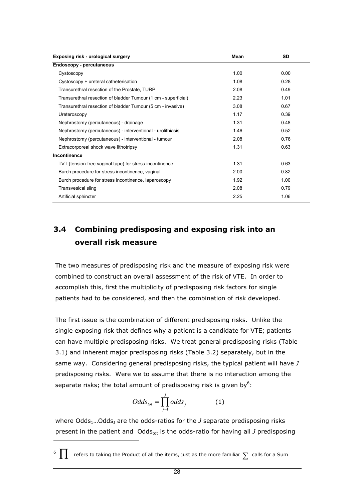| Exposing risk - urological surgery                             | Mean | <b>SD</b> |
|----------------------------------------------------------------|------|-----------|
| Endoscopy - percutaneous                                       |      |           |
| Cystoscopy                                                     | 1.00 | 0.00      |
| Cystoscopy + ureteral catheterisation                          | 1.08 | 0.28      |
| Transurethral resection of the Prostate, TURP                  | 2.08 | 0.49      |
| Transurethral resection of bladder Tumour (1 cm - superficial) | 2.23 | 1.01      |
| Transurethral resection of bladder Tumour (5 cm - invasive)    | 3.08 | 0.67      |
| Ureteroscopy                                                   | 1.17 | 0.39      |
| Nephrostomy (percutaneous) - drainage                          | 1.31 | 0.48      |
| Nephrostomy (percutaneous) - interventional - urolithiasis     | 1.46 | 0.52      |
| Nephrostomy (percutaneous) - interventional - tumour           | 2.08 | 0.76      |
| Extracorporeal shock wave lithotripsy                          | 1.31 | 0.63      |
| Incontinence                                                   |      |           |
| TVT (tension-free vaginal tape) for stress incontinence        | 1.31 | 0.63      |
| Burch procedure for stress incontinence, vaginal               | 2.00 | 0.82      |
| Burch procedure for stress incontinence, laparoscopy           | 1.92 | 1.00      |
| Transvesical sling                                             | 2.08 | 0.79      |
| Artificial sphincter                                           | 2.25 | 1.06      |

## **3.4 Combining predisposing and exposing risk into an overall risk measure**

The two measures of predisposing risk and the measure of exposing risk were combined to construct an overall assessment of the risk of VTE. In order to accomplish this, first the multiplicity of predisposing risk factors for single patients had to be considered, and then the combination of risk developed.

The first issue is the combination of different predisposing risks. Unlike the single exposing risk that defines why a patient is a candidate for VTE; patients can have multiple predisposing risks. We treat general predisposing risks (Table 3.1) and inherent major predisposing risks (Table 3.2) separately, but in the same way. Considering general predisposing risks, the typical patient will have *J* predisposing risks. Were we to assume that there is no interaction among the separate risks; the total amount of predisposing risk is given by<sup>6</sup>:

$$
Odds_{\text{tot}} = \prod_{j=1}^{J} odds_j \tag{1}
$$

where Odds<sub>1</sub>...Odds<sub>1</sub> are the odds-ratios for the *J* separate predisposing risks present in the patient and Odds<sub>tot</sub> is the odds-ratio for having all *J* predisposing

 $^6\prod$  refers to taking the <u>P</u>roduct of all the items, just as the more familiar  $\sum\;$  calls for a <u>S</u>um

l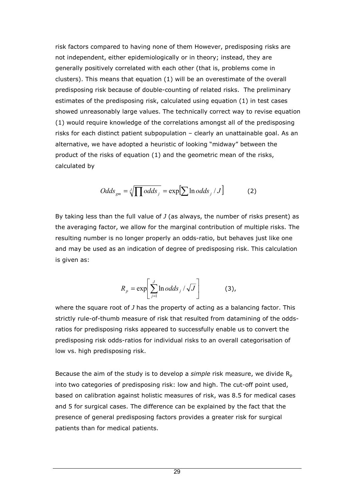risk factors compared to having none of them However, predisposing risks are not independent, either epidemiologically or in theory; instead, they are generally positively correlated with each other (that is, problems come in clusters). This means that equation (1) will be an overestimate of the overall predisposing risk because of double-counting of related risks. The preliminary estimates of the predisposing risk, calculated using equation (1) in test cases showed unreasonably large values. The technically correct way to revise equation (1) would require knowledge of the correlations amongst all of the predisposing risks for each distinct patient subpopulation – clearly an unattainable goal. As an alternative, we have adopted a heuristic of looking "midway" between the product of the risks of equation (1) and the geometric mean of the risks, calculated by

$$
Odds_{gm} = \sqrt[l]{\prod odds_j} = \exp[\sum \ln odds_j / J]
$$
 (2)

By taking less than the full value of *J* (as always, the number of risks present) as the averaging factor, we allow for the marginal contribution of multiple risks. The resulting number is no longer properly an odds-ratio, but behaves just like one and may be used as an indication of degree of predisposing risk. This calculation is given as:

$$
R_p = \exp\left[\sum_{j=1}^{J} \ln odds_j / \sqrt{J}\right]
$$
 (3),

where the square root of *J* has the property of acting as a balancing factor. This strictly rule-of-thumb measure of risk that resulted from datamining of the oddsratios for predisposing risks appeared to successfully enable us to convert the predisposing risk odds-ratios for individual risks to an overall categorisation of low vs. high predisposing risk.

Because the aim of the study is to develop a  $simple$  risk measure, we divide  $R_p$ into two categories of predisposing risk: low and high. The cut-off point used, based on calibration against holistic measures of risk, was 8.5 for medical cases and 5 for surgical cases. The difference can be explained by the fact that the presence of general predisposing factors provides a greater risk for surgical patients than for medical patients.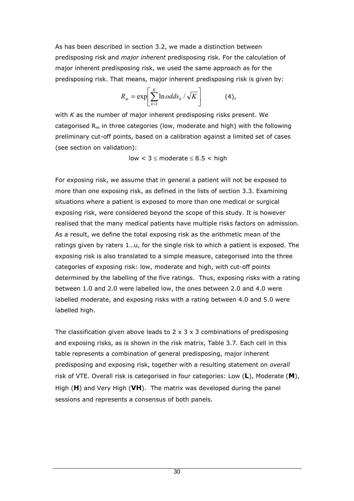As has been described in section 3.2, we made a distinction between predisposing risk and *major inherent* predisposing risk. For the calculation of major inherent predisposing risk, we used the same approach as for the predisposing risk. That means, major inherent predisposing risk is given by:

$$
R_m = \exp\left[\sum_{k=1}^K \ln odds_k / \sqrt{K}\right]
$$
 (4),

with *K* as the number of major inherent predisposing risks present. We categorised  $R_m$  in three categories (low, moderate and high) with the following preliminary cut-off points, based on a calibration against a limited set of cases (see section on validation):

low  $<$  3  $\leq$  moderate  $\leq$  8.5  $<$  high

For exposing risk, we assume that in general a patient will not be exposed to more than one exposing risk, as defined in the lists of section 3.3. Examining situations where a patient is exposed to more than one medical or surgical exposing risk, were considered beyond the scope of this study. It is however realised that the many medical patients have multiple risks factors on admission. As a result, we define the total exposing risk as the arithmetic mean of the ratings given by raters 1…u, for the single risk to which a patient is exposed. The exposing risk is also translated to a simple measure, categorised into the three categories of exposing risk: low, moderate and high, with cut-off points determined by the labelling of the five ratings. Thus, exposing risks with a rating between 1.0 and 2.0 were labelled low, the ones between 2.0 and 4.0 were labelled moderate, and exposing risks with a rating between 4.0 and 5.0 were labelled high.

The classification given above leads to 2  $\times$  3  $\times$  3 combinations of predisposing and exposing risks, as is shown in the risk matrix, Table 3.7. Each cell in this table represents a combination of general predisposing, major inherent predisposing and exposing risk, together with a resulting statement on *overall* risk of VTE. Overall risk is categorised in four categories: Low (**L**), Moderate (**M**), High (**H**) and Very High (**VH**). The matrix was developed during the panel sessions and represents a consensus of both panels.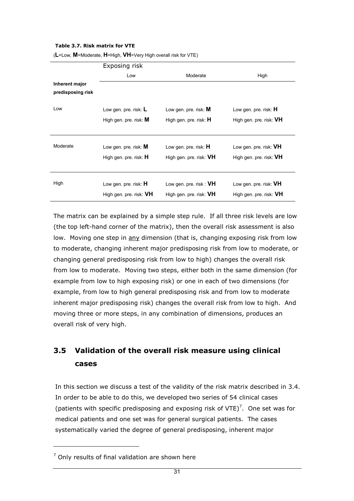#### **Table 3.7. Risk matrix for VTE**

|                   | Exposing risk            |                          |                          |
|-------------------|--------------------------|--------------------------|--------------------------|
|                   | Low                      | Moderate                 | High                     |
| Inherent major    |                          |                          |                          |
| predisposing risk |                          |                          |                          |
| Low               | Low gen. pre. risk: $L$  | Low gen. pre. risk: $M$  | Low gen. pre. risk: $H$  |
|                   | High gen. pre. risk: $M$ | High gen. pre. risk: $H$ | High gen. pre. risk: VH  |
|                   |                          |                          |                          |
|                   |                          |                          |                          |
| Moderate          | Low gen. pre. risk: M    | Low gen. pre. risk: $H$  | Low gen. pre. risk: $VH$ |
|                   | High gen. pre. risk: $H$ | High gen. pre. risk: VH  | High gen. pre. risk: VH  |
|                   |                          |                          |                          |
|                   |                          |                          |                          |
| High              | Low gen. pre. risk: $H$  | Low gen. pre. risk: $VH$ | Low gen. pre. risk: $VH$ |
|                   | High gen. pre. risk: VH  | High gen. pre. risk: VH  | High gen. pre. risk: VH  |

(**L**=Low, **M**=Moderate, **H**=High, **VH**=Very High overall risk for VTE)

The matrix can be explained by a simple step rule. If all three risk levels are low (the top left-hand corner of the matrix), then the overall risk assessment is also low. Moving one step in any dimension (that is, changing exposing risk from low to moderate, changing inherent major predisposing risk from low to moderate, or changing general predisposing risk from low to high) changes the overall risk from low to moderate. Moving two steps, either both in the same dimension (for example from low to high exposing risk) or one in each of two dimensions (for example, from low to high general predisposing risk and from low to moderate inherent major predisposing risk) changes the overall risk from low to high. And moving three or more steps, in any combination of dimensions, produces an overall risk of very high.

## **3.5 Validation of the overall risk measure using clinical cases**

In this section we discuss a test of the validity of the risk matrix described in 3.4. In order to be able to do this, we developed two series of 54 clinical cases (patients with specific predisposing and exposing risk of VTE)<sup>7</sup>. One set was for medical patients and one set was for general surgical patients. The cases systematically varied the degree of general predisposing, inherent major

ł

 $<sup>7</sup>$  Only results of final validation are shown here</sup>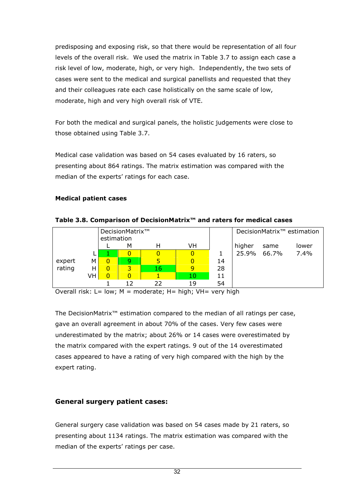predisposing and exposing risk, so that there would be representation of all four levels of the overall risk. We used the matrix in Table 3.7 to assign each case a risk level of low, moderate, high, or very high. Independently, the two sets of cases were sent to the medical and surgical panellists and requested that they and their colleagues rate each case holistically on the same scale of low, moderate, high and very high overall risk of VTE.

For both the medical and surgical panels, the holistic judgements were close to those obtained using Table 3.7.

Medical case validation was based on 54 cases evaluated by 16 raters, so presenting about 864 ratings. The matrix estimation was compared with the median of the experts' ratings for each case.

#### **Medical patient cases**

|        |    | estimation | DecisionMatrix <sup>™</sup> |    |    |    |        |       | DecisionMatrix <sup>™</sup> estimation |
|--------|----|------------|-----------------------------|----|----|----|--------|-------|----------------------------------------|
|        |    |            | м                           |    | VH |    | higher | same  | lower                                  |
|        |    |            |                             |    | O  |    | 25.9%  | 66.7% | 7.4%                                   |
| expert | М  | 0          | q                           |    |    | 14 |        |       |                                        |
| rating | н  |            | 3                           | 16 | 9  | 28 |        |       |                                        |
|        | VH |            | 0                           |    | 10 | 11 |        |       |                                        |
|        |    |            |                             |    | 19 | 54 |        |       |                                        |

**Table 3.8. Comparison of DecisionMatrix™ and raters for medical cases** 

Overall risk:  $L = low$ ;  $M = moderate$ ;  $H = high$ ;  $VH = very high$ 

The DecisionMatrix™ estimation compared to the median of all ratings per case, gave an overall agreement in about 70% of the cases. Very few cases were underestimated by the matrix; about 26% or 14 cases were overestimated by the matrix compared with the expert ratings. 9 out of the 14 overestimated cases appeared to have a rating of very high compared with the high by the expert rating.

### **General surgery patient cases:**

General surgery case validation was based on 54 cases made by 21 raters, so presenting about 1134 ratings. The matrix estimation was compared with the median of the experts' ratings per case.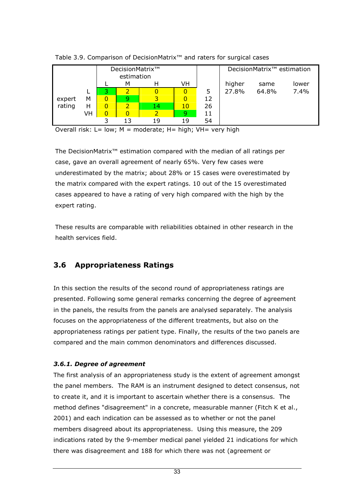|        |    |   | DecisionMatrix <sup>™</sup><br>estimation |    |    |    |        | DecisionMatrix <sup>™</sup> estimation |       |
|--------|----|---|-------------------------------------------|----|----|----|--------|----------------------------------------|-------|
|        |    |   | м                                         |    | VH |    | higher | same                                   | lower |
|        |    |   |                                           | 0  | 0  | 5. | 27.8%  | 64.8%                                  | 7.4%  |
| expert | м  | 0 |                                           | 3  |    | 12 |        |                                        |       |
| rating | н  | 0 |                                           | 14 | 10 | 26 |        |                                        |       |
|        | VH |   | 0                                         |    | 9  | 11 |        |                                        |       |
|        |    |   | 13                                        | 19 | 19 | 54 |        |                                        |       |

Table 3.9. Comparison of DecisionMatrix™ and raters for surgical cases

Overall risk:  $L = low$ ;  $M = moderate$ ;  $H = high$ ;  $VH = very high$ 

The DecisionMatrix™ estimation compared with the median of all ratings per case, gave an overall agreement of nearly 65%. Very few cases were underestimated by the matrix; about 28% or 15 cases were overestimated by the matrix compared with the expert ratings. 10 out of the 15 overestimated cases appeared to have a rating of very high compared with the high by the expert rating.

These results are comparable with reliabilities obtained in other research in the health services field.

## **3.6 Appropriateness Ratings**

In this section the results of the second round of appropriateness ratings are presented. Following some general remarks concerning the degree of agreement in the panels, the results from the panels are analysed separately. The analysis focuses on the appropriateness of the different treatments, but also on the appropriateness ratings per patient type. Finally, the results of the two panels are compared and the main common denominators and differences discussed.

### *3.6.1. Degree of agreement*

The first analysis of an appropriateness study is the extent of agreement amongst the panel members. The RAM is an instrument designed to detect consensus, not to create it, and it is important to ascertain whether there is a consensus. The method defines "disagreement" in a concrete, measurable manner (Fitch K et al., 2001) and each indication can be assessed as to whether or not the panel members disagreed about its appropriateness. Using this measure, the 209 indications rated by the 9-member medical panel yielded 21 indications for which there was disagreement and 188 for which there was not (agreement or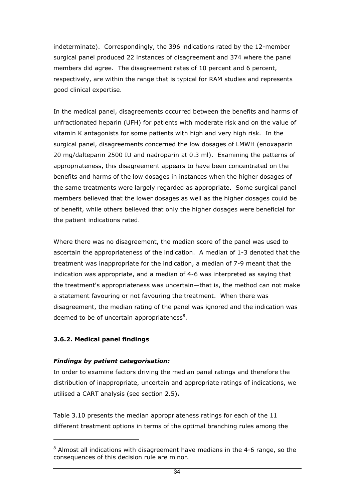indeterminate). Correspondingly, the 396 indications rated by the 12-member surgical panel produced 22 instances of disagreement and 374 where the panel members did agree. The disagreement rates of 10 percent and 6 percent, respectively, are within the range that is typical for RAM studies and represents good clinical expertise.

In the medical panel, disagreements occurred between the benefits and harms of unfractionated heparin (UFH) for patients with moderate risk and on the value of vitamin K antagonists for some patients with high and very high risk. In the surgical panel, disagreements concerned the low dosages of LMWH (enoxaparin 20 mg/dalteparin 2500 IU and nadroparin at 0.3 ml). Examining the patterns of appropriateness, this disagreement appears to have been concentrated on the benefits and harms of the low dosages in instances when the higher dosages of the same treatments were largely regarded as appropriate. Some surgical panel members believed that the lower dosages as well as the higher dosages could be of benefit, while others believed that only the higher dosages were beneficial for the patient indications rated.

Where there was no disagreement, the median score of the panel was used to ascertain the appropriateness of the indication. A median of 1-3 denoted that the treatment was inappropriate for the indication, a median of 7-9 meant that the indication was appropriate, and a median of 4-6 was interpreted as saying that the treatment's appropriateness was uncertain—that is, the method can not make a statement favouring or not favouring the treatment. When there was disagreement, the median rating of the panel was ignored and the indication was deemed to be of uncertain appropriateness $8$ .

#### **3.6.2. Medical panel findings**

j.

#### *Findings by patient categorisation:*

In order to examine factors driving the median panel ratings and therefore the distribution of inappropriate, uncertain and appropriate ratings of indications, we utilised a CART analysis (see section 2.5)**.** 

Table 3.10 presents the median appropriateness ratings for each of the 11 different treatment options in terms of the optimal branching rules among the

 $8$  Almost all indications with disagreement have medians in the 4-6 range, so the consequences of this decision rule are minor.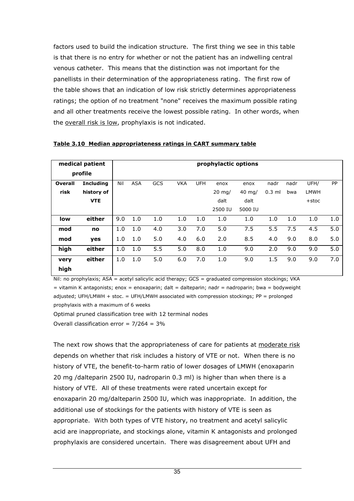factors used to build the indication structure. The first thing we see in this table is that there is no entry for whether or not the patient has an indwelling central venous catheter. This means that the distinction was not important for the panellists in their determination of the appropriateness rating. The first row of the table shows that an indication of low risk strictly determines appropriateness ratings; the option of no treatment "none" receives the maximum possible rating and all other treatments receive the lowest possible rating. In other words, when the overall risk is low, prophylaxis is not indicated.

| medical patient |                  | prophylactic options |            |     |            |            |                 |                 |          |      |             |           |
|-----------------|------------------|----------------------|------------|-----|------------|------------|-----------------|-----------------|----------|------|-------------|-----------|
| profile         |                  |                      |            |     |            |            |                 |                 |          |      |             |           |
| <b>Overall</b>  | <b>Including</b> | Nil                  | <b>ASA</b> | GCS | <b>VKA</b> | <b>UFH</b> | enox            | enox            | nadr     | nadr | UFH/        | <b>PP</b> |
| risk            | history of       |                      |            |     |            |            | $20 \text{ mg}$ | $40 \text{ mg}$ | $0.3$ ml | bwa  | <b>LMWH</b> |           |
|                 | <b>VTE</b>       |                      |            |     |            |            | dalt            | dalt            |          |      | $+$ stoc    |           |
|                 |                  |                      |            |     |            |            | 2500 IU         | 5000 IU         |          |      |             |           |
| low             | either           | 9.0                  | 1.0        | 1.0 | 1.0        | 1.0        | 1.0             | 1.0             | 1.0      | 1.0  | 1.0         | 1.0       |
| mod             | no               | 1.0                  | 1.0        | 4.0 | 3.0        | 7.0        | 5.0             | 7.5             | 5.5      | 7.5  | 4.5         | 5.0       |
| mod             | yes              | 1.0                  | 1.0        | 5.0 | 4.0        | 6.0        | 2.0             | 8.5             | 4.0      | 9.0  | 8.0         | 5.0       |
| high            | either           | 1.0                  | 1.0        | 5.5 | 5.0        | 8.0        | 1.0             | 9.0             | 2.0      | 9.0  | 9.0         | 5.0       |
| very            | either           | 1.0                  | 1.0        | 5.0 | 6.0        | 7.0        | 1.0             | 9.0             | 1.5      | 9.0  | 9.0         | 7.0       |
| high            |                  |                      |            |     |            |            |                 |                 |          |      |             |           |

#### **Table 3.10 Median appropriateness ratings in CART summary table**

Nil: no prophylaxis; ASA = acetyl salicylic acid therapy; GCS = graduated compression stockings; VKA = vitamin K antagonists; enox = enoxaparin; dalt = dalteparin; nadr = nadroparin; bwa = bodyweight adjusted; UFH/LMWH + stoc. = UFH/LMWH associated with compression stockings; PP = prolonged prophylaxis with a maximum of 6 weeks

Optimal pruned classification tree with 12 terminal nodes

Overall classification error =  $7/264 = 3\%$ 

The next row shows that the appropriateness of care for patients at moderate risk depends on whether that risk includes a history of VTE or not. When there is no history of VTE, the benefit-to-harm ratio of lower dosages of LMWH (enoxaparin 20 mg /dalteparin 2500 IU, nadroparin 0.3 ml) is higher than when there is a history of VTE. All of these treatments were rated uncertain except for enoxaparin 20 mg/dalteparin 2500 IU, which was inappropriate. In addition, the additional use of stockings for the patients with history of VTE is seen as appropriate. With both types of VTE history, no treatment and acetyl salicylic acid are inappropriate, and stockings alone, vitamin K antagonists and prolonged prophylaxis are considered uncertain. There was disagreement about UFH and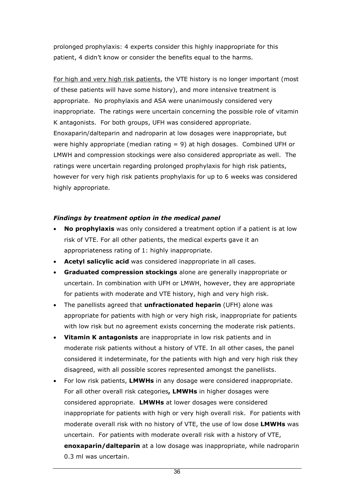prolonged prophylaxis: 4 experts consider this highly inappropriate for this patient, 4 didn't know or consider the benefits equal to the harms.

For high and very high risk patients, the VTE history is no longer important (most of these patients will have some history), and more intensive treatment is appropriate. No prophylaxis and ASA were unanimously considered very inappropriate. The ratings were uncertain concerning the possible role of vitamin K antagonists. For both groups, UFH was considered appropriate. Enoxaparin/dalteparin and nadroparin at low dosages were inappropriate, but were highly appropriate (median rating = 9) at high dosages. Combined UFH or LMWH and compression stockings were also considered appropriate as well. The ratings were uncertain regarding prolonged prophylaxis for high risk patients, however for very high risk patients prophylaxis for up to 6 weeks was considered highly appropriate.

#### *Findings by treatment option in the medical panel*

- **No prophylaxis** was only considered a treatment option if a patient is at low risk of VTE. For all other patients, the medical experts gave it an appropriateness rating of 1: highly inappropriate.
- **Acetyl salicylic acid** was considered inappropriate in all cases.
- **Graduated compression stockings** alone are generally inappropriate or uncertain. In combination with UFH or LMWH, however, they are appropriate for patients with moderate and VTE history, high and very high risk.
- The panellists agreed that **unfractionated heparin** (UFH) alone was appropriate for patients with high or very high risk, inappropriate for patients with low risk but no agreement exists concerning the moderate risk patients.
- **Vitamin K antagonists** are inappropriate in low risk patients and in moderate risk patients without a history of VTE. In all other cases, the panel considered it indeterminate, for the patients with high and very high risk they disagreed, with all possible scores represented amongst the panellists.
- For low risk patients, **LMWHs** in any dosage were considered inappropriate. For all other overall risk categories**, LMWHs** in higher dosages were considered appropriate. **LMWHs** at lower dosages were considered inappropriate for patients with high or very high overall risk. For patients with moderate overall risk with no history of VTE, the use of low dose **LMWHs** was uncertain. For patients with moderate overall risk with a history of VTE, **enoxaparin/dalteparin** at a low dosage was inappropriate, while nadroparin 0.3 ml was uncertain.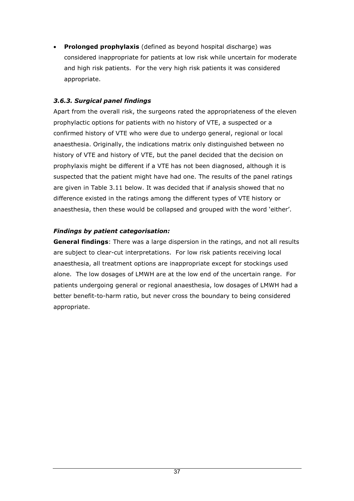• **Prolonged prophylaxis** (defined as beyond hospital discharge) was considered inappropriate for patients at low risk while uncertain for moderate and high risk patients. For the very high risk patients it was considered appropriate.

#### *3.6.3. Surgical panel findings*

Apart from the overall risk, the surgeons rated the appropriateness of the eleven prophylactic options for patients with no history of VTE, a suspected or a confirmed history of VTE who were due to undergo general, regional or local anaesthesia. Originally, the indications matrix only distinguished between no history of VTE and history of VTE, but the panel decided that the decision on prophylaxis might be different if a VTE has not been diagnosed, although it is suspected that the patient might have had one. The results of the panel ratings are given in Table 3.11 below. It was decided that if analysis showed that no difference existed in the ratings among the different types of VTE history or anaesthesia, then these would be collapsed and grouped with the word 'either'.

#### *Findings by patient categorisation:*

**General findings**: There was a large dispersion in the ratings, and not all results are subject to clear-cut interpretations. For low risk patients receiving local anaesthesia, all treatment options are inappropriate except for stockings used alone. The low dosages of LMWH are at the low end of the uncertain range. For patients undergoing general or regional anaesthesia, low dosages of LMWH had a better benefit-to-harm ratio, but never cross the boundary to being considered appropriate.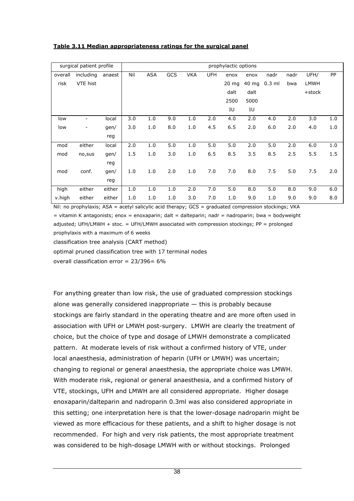| Table 3.11 Median appropriateness ratings for the surgical panel |  |  |
|------------------------------------------------------------------|--|--|
|                                                                  |  |  |

| surgical patient profile |                          |        | prophylactic options |            |     |            |            |       |       |          |      |             |     |
|--------------------------|--------------------------|--------|----------------------|------------|-----|------------|------------|-------|-------|----------|------|-------------|-----|
| overall                  | including                | anaest | Nil                  | <b>ASA</b> | GCS | <b>VKA</b> | <b>UFH</b> | enox  | enox  | nadr     | nadr | UFH/        | PP  |
| risk                     | VTE hist                 |        |                      |            |     |            |            | 20 mg | 40 mg | $0.3$ ml | bwa  | <b>LMWH</b> |     |
|                          |                          |        |                      |            |     |            |            | dalt  | dalt  |          |      | +stock      |     |
|                          |                          |        |                      |            |     |            |            | 2500  | 5000  |          |      |             |     |
|                          |                          |        |                      |            |     |            |            | IU    | IU    |          |      |             |     |
| low                      | $\overline{\phantom{0}}$ | local  | 3.0                  | 1.0        | 9.0 | 1.0        | 2.0        | 4.0   | 2.0   | 4.0      | 2.0  | 3.0         | 1.0 |
| low                      | $\overline{a}$           | gen/   | 3.0                  | 1.0        | 8.0 | 1.0        | 4.5        | 6.5   | 2.0   | 6.0      | 2.0  | 4.0         | 1.0 |
|                          |                          | reg    |                      |            |     |            |            |       |       |          |      |             |     |
| mod                      | either                   | local  | 2.0                  | 1.0        | 5.0 | 1.0        | 5.0        | 5.0   | 2.0   | 5.0      | 2.0  | 6.0         | 1.0 |
| mod                      | no,sus                   | gen/   | 1.5                  | 1.0        | 3.0 | 1.0        | 6.5        | 8.5   | 3.5   | 8.5      | 2.5  | 5.5         | 1.5 |
|                          |                          | reg    |                      |            |     |            |            |       |       |          |      |             |     |
| mod                      | conf.                    | gen/   | 1.0                  | 1.0        | 2.0 | 1.0        | 7.0        | 7.0   | 8.0   | 7.5      | 5.0  | 7.5         | 2.0 |
|                          |                          | reg    |                      |            |     |            |            |       |       |          |      |             |     |
| high                     | either                   | either | 1.0                  | 1.0        | 1.0 | 2.0        | 7.0        | 5.0   | 8.0   | 5.0      | 8.0  | 9.0         | 6.0 |
| v.high                   | either                   | either | 1.0                  | 1.0        | 1.0 | 3.0        | 7.0        | 1.0   | 9.0   | 1.0      | 9.0  | 9.0         | 8.0 |

Nil: no prophylaxis; ASA = acetyl salicylic acid therapy; GCS = graduated compression stockings; VKA  $=$  vitamin K antagonists; enox = enoxaparin; dalt = dalteparin; nadr = nadroparin; bwa = bodyweight adjusted; UFH/LMWH + stoc. = UFH/LMWH associated with compression stockings; PP = prolonged prophylaxis with a maximum of 6 weeks

classification tree analysis (CART method)

optimal pruned classification tree with 17 terminal nodes

overall classification error = 23/396= 6%

For anything greater than low risk, the use of graduated compression stockings alone was generally considered inappropriate  $-$  this is probably because stockings are fairly standard in the operating theatre and are more often used in association with UFH or LMWH post-surgery. LMWH are clearly the treatment of choice, but the choice of type and dosage of LMWH demonstrate a complicated pattern. At moderate levels of risk without a confirmed history of VTE, under local anaesthesia, administration of heparin (UFH or LMWH) was uncertain; changing to regional or general anaesthesia, the appropriate choice was LMWH. With moderate risk, regional or general anaesthesia, and a confirmed history of VTE, stockings, UFH and LMWH are all considered appropriate. Higher dosage enoxaparin/dalteparin and nadroparin 0.3ml was also considered appropriate in this setting; one interpretation here is that the lower-dosage nadroparin might be viewed as more efficacious for these patients, and a shift to higher dosage is not recommended. For high and very risk patients, the most appropriate treatment was considered to be high-dosage LMWH with or without stockings. Prolonged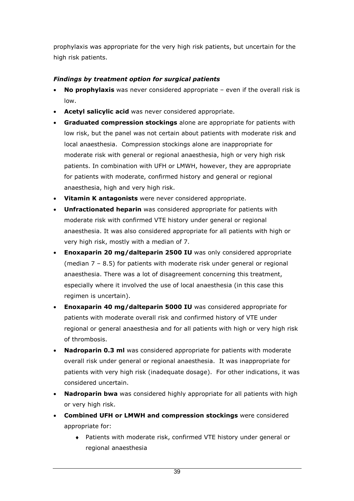prophylaxis was appropriate for the very high risk patients, but uncertain for the high risk patients.

### *Findings by treatment option for surgical patients*

- **No prophylaxis** was never considered appropriate even if the overall risk is low.
- **Acetyl salicylic acid** was never considered appropriate.
- **Graduated compression stockings** alone are appropriate for patients with low risk, but the panel was not certain about patients with moderate risk and local anaesthesia. Compression stockings alone are inappropriate for moderate risk with general or regional anaesthesia, high or very high risk patients. In combination with UFH or LMWH, however, they are appropriate for patients with moderate, confirmed history and general or regional anaesthesia, high and very high risk.
- **Vitamin K antagonists** were never considered appropriate.
- **Unfractionated heparin** was considered appropriate for patients with moderate risk with confirmed VTE history under general or regional anaesthesia. It was also considered appropriate for all patients with high or very high risk, mostly with a median of 7.
- **Enoxaparin 20 mg/dalteparin 2500 IU** was only considered appropriate (median 7 – 8.5) for patients with moderate risk under general or regional anaesthesia. There was a lot of disagreement concerning this treatment, especially where it involved the use of local anaesthesia (in this case this regimen is uncertain).
- **Enoxaparin 40 mg/dalteparin 5000 IU** was considered appropriate for patients with moderate overall risk and confirmed history of VTE under regional or general anaesthesia and for all patients with high or very high risk of thrombosis.
- **Nadroparin 0.3 ml** was considered appropriate for patients with moderate overall risk under general or regional anaesthesia. It was inappropriate for patients with very high risk (inadequate dosage). For other indications, it was considered uncertain.
- **Nadroparin bwa** was considered highly appropriate for all patients with high or very high risk.
- **Combined UFH or LMWH and compression stockings** were considered appropriate for:
	- ♦ Patients with moderate risk, confirmed VTE history under general or regional anaesthesia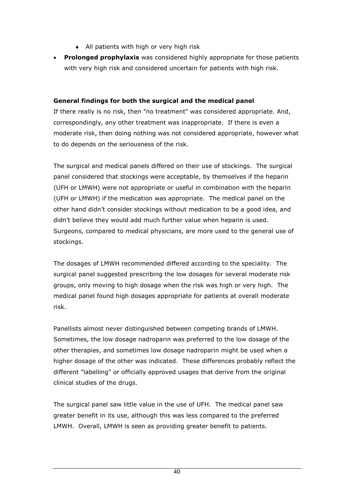- ♦ All patients with high or very high risk
- **Prolonged prophylaxis** was considered highly appropriate for those patients with very high risk and considered uncertain for patients with high risk.

#### **General findings for both the surgical and the medical panel**

If there really is no risk, then "no treatment" was considered appropriate. And, correspondingly, any other treatment was inappropriate. If there is even a moderate risk, then doing nothing was not considered appropriate, however what to do depends on the seriousness of the risk.

The surgical and medical panels differed on their use of stockings. The surgical panel considered that stockings were acceptable, by themselves if the heparin (UFH or LMWH) were not appropriate or useful in combination with the heparin (UFH or LMWH) if the medication was appropriate. The medical panel on the other hand didn't consider stockings without medication to be a good idea, and didn't believe they would add much further value when heparin is used. Surgeons, compared to medical physicians, are more used to the general use of stockings.

The dosages of LMWH recommended differed according to the speciality. The surgical panel suggested prescribing the low dosages for several moderate risk groups, only moving to high dosage when the risk was high or very high. The medical panel found high dosages appropriate for patients at overall moderate risk.

Panellists almost never distinguished between competing brands of LMWH. Sometimes, the low dosage nadroparin was preferred to the low dosage of the other therapies, and sometimes low dosage nadroparin might be used when a higher dosage of the other was indicated. These differences probably reflect the different "labelling" or officially approved usages that derive from the original clinical studies of the drugs.

The surgical panel saw little value in the use of UFH. The medical panel saw greater benefit in its use, although this was less compared to the preferred LMWH. Overall, LMWH is seen as providing greater benefit to patients.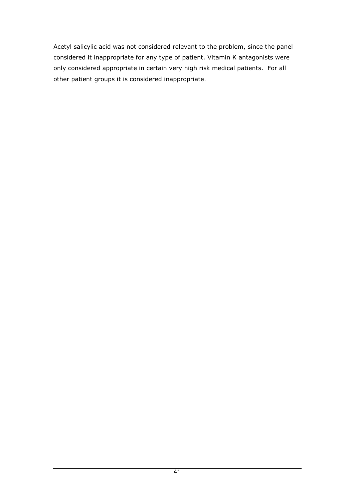Acetyl salicylic acid was not considered relevant to the problem, since the panel considered it inappropriate for any type of patient. Vitamin K antagonists were only considered appropriate in certain very high risk medical patients. For all other patient groups it is considered inappropriate.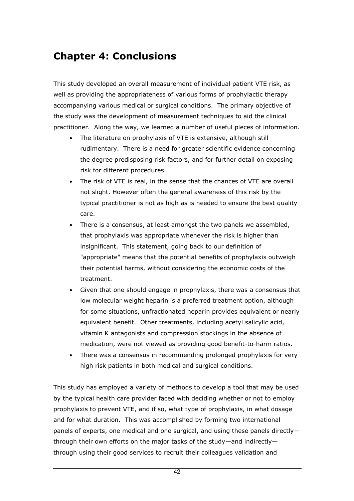## **Chapter 4: Conclusions**

This study developed an overall measurement of individual patient VTE risk, as well as providing the appropriateness of various forms of prophylactic therapy accompanying various medical or surgical conditions. The primary objective of the study was the development of measurement techniques to aid the clinical practitioner. Along the way, we learned a number of useful pieces of information.

- The literature on prophylaxis of VTE is extensive, although still rudimentary. There is a need for greater scientific evidence concerning the degree predisposing risk factors, and for further detail on exposing risk for different procedures.
- The risk of VTE is real, in the sense that the chances of VTE are overall not slight. However often the general awareness of this risk by the typical practitioner is not as high as is needed to ensure the best quality care.
- There is a consensus, at least amongst the two panels we assembled, that prophylaxis was appropriate whenever the risk is higher than insignificant. This statement, going back to our definition of "appropriate" means that the potential benefits of prophylaxis outweigh their potential harms, without considering the economic costs of the treatment.
- Given that one should engage in prophylaxis, there was a consensus that low molecular weight heparin is a preferred treatment option, although for some situations, unfractionated heparin provides equivalent or nearly equivalent benefit. Other treatments, including acetyl salicylic acid, vitamin K antagonists and compression stockings in the absence of medication, were not viewed as providing good benefit-to-harm ratios.
- There was a consensus in recommending prolonged prophylaxis for very high risk patients in both medical and surgical conditions.

This study has employed a variety of methods to develop a tool that may be used by the typical health care provider faced with deciding whether or not to employ prophylaxis to prevent VTE, and if so, what type of prophylaxis, in what dosage and for what duration. This was accomplished by forming two international panels of experts, one medical and one surgical, and using these panels directly through their own efforts on the major tasks of the study—and indirectly through using their good services to recruit their colleagues validation and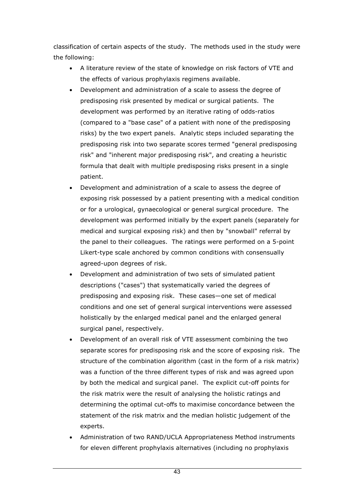classification of certain aspects of the study. The methods used in the study were the following:

- A literature review of the state of knowledge on risk factors of VTE and the effects of various prophylaxis regimens available.
- Development and administration of a scale to assess the degree of predisposing risk presented by medical or surgical patients. The development was performed by an iterative rating of odds-ratios (compared to a "base case" of a patient with none of the predisposing risks) by the two expert panels. Analytic steps included separating the predisposing risk into two separate scores termed "general predisposing risk" and "inherent major predisposing risk", and creating a heuristic formula that dealt with multiple predisposing risks present in a single patient.
- Development and administration of a scale to assess the degree of exposing risk possessed by a patient presenting with a medical condition or for a urological, gynaecological or general surgical procedure. The development was performed initially by the expert panels (separately for medical and surgical exposing risk) and then by "snowball" referral by the panel to their colleagues. The ratings were performed on a 5-point Likert-type scale anchored by common conditions with consensually agreed-upon degrees of risk.
- Development and administration of two sets of simulated patient descriptions ("cases") that systematically varied the degrees of predisposing and exposing risk. These cases—one set of medical conditions and one set of general surgical interventions were assessed holistically by the enlarged medical panel and the enlarged general surgical panel, respectively.
- Development of an overall risk of VTE assessment combining the two separate scores for predisposing risk and the score of exposing risk. The structure of the combination algorithm (cast in the form of a risk matrix) was a function of the three different types of risk and was agreed upon by both the medical and surgical panel. The explicit cut-off points for the risk matrix were the result of analysing the holistic ratings and determining the optimal cut-offs to maximise concordance between the statement of the risk matrix and the median holistic judgement of the experts.
- Administration of two RAND/UCLA Appropriateness Method instruments for eleven different prophylaxis alternatives (including no prophylaxis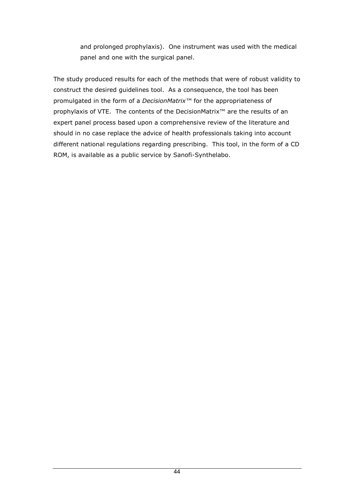and prolonged prophylaxis). One instrument was used with the medical panel and one with the surgical panel.

The study produced results for each of the methods that were of robust validity to construct the desired guidelines tool. As a consequence, the tool has been promulgated in the form of a *DecisionMatrix™* for the appropriateness of prophylaxis of VTE. The contents of the DecisionMatrix<sup>™</sup> are the results of an expert panel process based upon a comprehensive review of the literature and should in no case replace the advice of health professionals taking into account different national regulations regarding prescribing. This tool, in the form of a CD ROM, is available as a public service by Sanofi-Synthelabo.